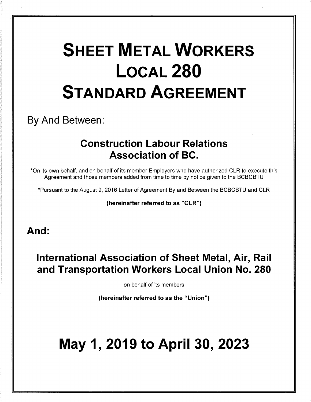# **SHEET METAL WORKERS** LOCAL<sub>280</sub> STANDARD AGREEMENT

## By And Between:

## Construction Labour Relations Association of BC.

\*On its own behalf, and on behalf of its member Employers who have authorized CLR to execute this Agreement and those members added from time to time by notice given to the BCBCBTU

\*Pursuant to the August 9, 2016 Letter of Agreement By and Between the BCBCBTU and CLR

(hereinafter referred to as "CLR")

### And:

## International Association of Sheet Metal, Air, Rail and Transportation Workers Local Union No. 280

on behalf of its members

(hereinafter referred to as the "Union")

## May 1, 2019 to April 30, 2023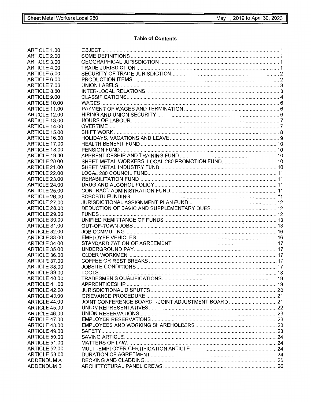#### **Table of Contents**

| ARTICLE 1.00      |                                                     |  |
|-------------------|-----------------------------------------------------|--|
| ARTICLE 2.00      |                                                     |  |
| ARTICLE 3.00      |                                                     |  |
| ARTICLE 4.00      |                                                     |  |
| ARTICLE 5.00      |                                                     |  |
| ARTICLE 6.00      |                                                     |  |
| ARTICLE 7.00      |                                                     |  |
| ARTICLE 8.00      |                                                     |  |
| ARTICLE 9.00      |                                                     |  |
| ARTICLE 10.00     |                                                     |  |
| ARTICLE 11.00     |                                                     |  |
| ARTICLE 12.00     |                                                     |  |
| ARTICLE 13.00     |                                                     |  |
| ARTICLE 14.00     |                                                     |  |
| ARTICLE 15.00     |                                                     |  |
| ARTICLE 16.00     |                                                     |  |
| ARTICLE 17.00     |                                                     |  |
| ARTICLE 18.00     |                                                     |  |
| ARTICLE 19.00     |                                                     |  |
| ARTICLE 20.00     |                                                     |  |
| ARTICLE 21.00     |                                                     |  |
| ARTICLE 22.00     |                                                     |  |
| ARTICLE 23.00     |                                                     |  |
| ARTICLE 24.00     |                                                     |  |
|                   |                                                     |  |
| ARTICLE 25.00     |                                                     |  |
| ARTICLE 26.00     |                                                     |  |
| ARTICLE 27.00     |                                                     |  |
| ARTICLE 28.00     |                                                     |  |
| ARTICLE 29.00     |                                                     |  |
| ARTICLE 30.00     |                                                     |  |
| ARTICLE 31.00     |                                                     |  |
| ARTICLE 32.00     |                                                     |  |
| ARTICLE 33.00     |                                                     |  |
| ARTICLE 34.00     |                                                     |  |
| ARTICLE 35.00     |                                                     |  |
| ARTICLE 36.00     |                                                     |  |
| ARTICLE 37.00     |                                                     |  |
| ARTICLE 38.00     |                                                     |  |
| ARTICLE 39.00     | TOOLS                                               |  |
| ARTICLE 40.00     |                                                     |  |
| ARTICLE 41.00     |                                                     |  |
| ARTICLE 42.00     |                                                     |  |
| ARTICLE 43.00     |                                                     |  |
| ARTICLE 44.00     | JOINT CONFERENCE BOARD - JOINT ADJUSTMENT BOARD  21 |  |
| ARTICLE 45.00     |                                                     |  |
| ARTICLE 46.00     |                                                     |  |
| ARTICLE 47.00     |                                                     |  |
| ARTICLE 48.00     |                                                     |  |
| ARTICLE 49.00     |                                                     |  |
| ARTICLE 50.00     |                                                     |  |
| ARTICLE 51.00     |                                                     |  |
| ARTICLE 52.00     |                                                     |  |
| ARTICLE 53.00     |                                                     |  |
| <b>ADDENDUM A</b> |                                                     |  |
| <b>ADDENDUM B</b> |                                                     |  |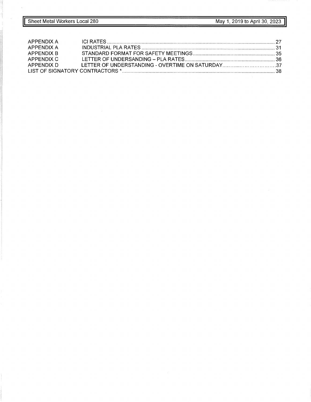| APPENDIX A |  |
|------------|--|
| APPENDIX A |  |
| APPENDIX B |  |
| APPFNDIX C |  |
|            |  |
|            |  |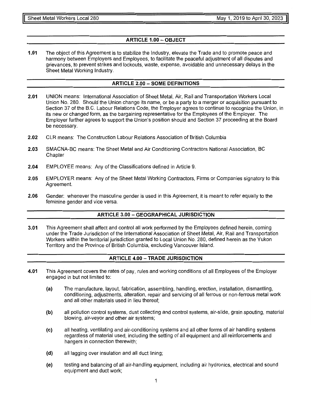#### **ARTICLE 1.00- OBJECT**

**1.01** The object of this Agreement is to stabilize the Industry, elevate the Trade and to promote peace and harmony between Employers and Employees, to facilitate the peaceful adjustment of all disputes and grievances, to prevent strikes and lockouts, waste, expense, avoidable and unnecessary delays in the Sheet Metal Working Industry.

#### **ARTICLE 2.00 - SOME DEFINITIONS**

- **2.01** UNION means: International Association of Sheet Metal, Air, Rail and Transportation Workers Local Union No. 280. Should the Union change its name, or be a party to a merger or acquisition pursuant to Section 37 of the B.C. Labour Relations Code, the Employer agrees to continue to recognize the Union, in its new or changed form, as the bargaining representative for the Employees of the Employer. The Employer further agrees to support the Union's position should and Section 37 proceeding at the Board be necessary.
- **2.02** CLR means: The Construction Labour Relations Association of British Columbia
- **2.03** SMACNA-BC means: The Sheet Metal and Air Conditioning Contractors National Association, BC **Chapter**
- **2.04** EMPLOYEE means: Any of the Classifications defined in Article 9.
- **2.05** EMPLOYER means: Any of the Sheet Metal Working Contractors, Firms or Companies signatory to this Agreement.
- **2.06** Gender: whenever the masculine gender is used in this Agreement, it is meant to refer equally to the feminine gender and vice versa.

#### **ARTICLE 3.00 - GEOGRAPHICAL JURISDICTION**

**3.01** This Agreement shall affect and control all work performed by the Employees defined herein, coming under the Trade Jurisdiction of the International Association of Sheet Metal, Air, Rail and Transportation Workers within the territorial jurisdiction granted to Local Union No. 280, defined herein as the Yukon Territory and the Province of British Columbia, excluding Vancouver Island.

#### **ARTICLE 4.00 - TRADE JURISDICTION**

- **4.01** This Agreement covers the rates of pay, rules and working conditions of all Employees of the Employer engaged in but not limited to:
	- (a) The manufacture, layout, fabrication, assembling, handling, erection, installation, dismantling, conditioning, adjustments, alteration, repair and servicing of all ferrous or non-ferrous metal work and all other materials used in lieu thereof;
	- **(b)** all pollution control systems, dust collecting and control systems, air-slide, grain spouting, material blowing, air-veyor and other air systems;
	- (c) all heating, ventilating and air-conditioning systems and all other forms of air handling systems regardless of material used, including the setting of all equipment and all reinforcements and hangers in connection therewith;
	- **(d)** all lagging over insulation and all duct lining;
	- (e) testing and balancing of all air-handling equipment, including air hydronics, electrical and sound equipment and duct work;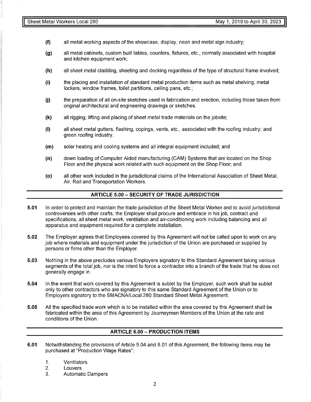- **(f)** all metal working aspects of the showcase, display, neon and metal sign industry;
- **(g)** all metal cabinets, custom built tables, counters, fixtures, etc., normally associated with hospital and kitchen equipment work;
- **(h)** all sheet metal cladding, sheeting and decking regardless of the type of structural frame involved;
- **(i)** the placing and installation of standard metal production items such as metal shelving, metal lockers, window frames, toilet partitions, ceiling pans, etc.;
- (j) the preparation of all on-site sketches used in fabrication and erection, including those taken from original architectural and engineering drawings or sketches.
- **(k)** all rigging, lifting and placing of sheet metal trade materials on the jobsite;
- (I) all sheet metal gutters, flashing, copings, vents, etc., associated with the roofing industry; and green roofing industry.
- **(m)** solar heating and cooling systems and all integral equipment included; and
- **(n)** down loading of Computer Aided manufacturing (CAM) Systems that are located on the Shop Floor and the physical work related with such equipment on the Shop Floor; and
- (o) all other work included in the jurisdictional claims of the International Association of Sheet Metal, Air, Rail and Transportation Workers.

#### **ARTICLE 5.00 - SECURITY OF TRADE JURISDICTION**

- **5.01** In order to protect and maintain the trade jurisdiction of the Sheet Metal Worker and to avoid jurisdictional controversies with other crafts, the Employer shall procure and embrace in his job, contract and specifications, all sheet metal work, ventilation and air-conditioning work including balancing and all apparatus and equipment required for a complete installation.
- **5.02** The Employer agrees that Employees covered by this Agreement will not be called upon to work on any job where materials and equipment under the jurisdiction of the Union are purchased or supplied by persons or firms other than the Employer.
- **5.03** Nothing in the above precludes various Employers signatory to this Standard Agreement taking various segments of the total job, nor is the intent to force a contractor into a branch of the trade that he does not generally engage in.
- **5.04** In the event that work covered by this Agreement is sublet by the Employer, such work shall be sublet only to other contractors who are signatory to this same Standard Agreement of the Union or to Employers signatory to the SMACNA/Local 280 Standard Sheet Metal Agreement.
- **5.05** All the specified trade work which is to be installed within the area covered by this Agreement shall be fabricated within the area of this Agreement by Journeymen Members of the Union at the rate and conditions of the Union.

#### **ARTICLE 6.00 - PRODUCTION ITEMS**

- **6.01** Notwithstanding the provisions of Article 5.04 and 8.01 of this Agreement, the following items may be purchased at "Production Wage Rates":
	- 1. Ventilators
	- 2. Louvers
	- 3. Automatic Dampers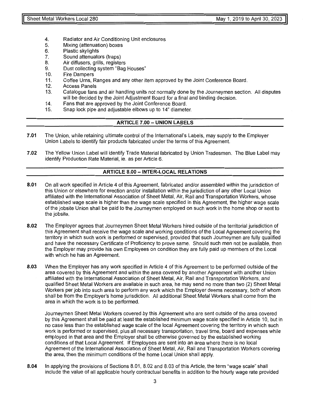- 4. Radiator and Air Conditioning Unit enclosures<br>5. Mixing (attenuation) boxes
- 5. Mixing (attenuation) boxes<br>6. Plastic skylights
- Plastic skylights
- 7. Sound attenuators (traps)<br>8. Air diffusers, grills, registe
- Air diffusers, grills, registers
- 9. Dust collecting system "Bag Houses"
- 10. Fire Dampers
- 11. Coffee Urns, Ranges and any other item approved by the Joint Conference Board.
- 12. Access Panels<br>13. Catalogue fans
- Catalogue fans and air handling units not normally done by the Journeymen section. All disputes will be decided by the Joint Adjustment Board for a final and binding decision.
- 14. Fans that are approved by the Joint Conference Board.<br>15. Snap lock pipe and adiustable elbows up to 14" diamete
- Snap lock pipe and adjustable elbows up to 14" diameter.

#### **ARTICLE 7.00 - UNION LABELS**

- **7.01** The Union, while retaining ultimate control of the lnternational's Labels, may supply to the Employer Union Labels to identify fair products fabricated under the terms of this Agreement.
- **7.02** The Yellow Union Label will identify Trade Material fabricated by Union Tradesmen. The Blue Label may identify Production Rate Material, ie. as per Article 6.

#### **ARTICLE 8.00 - INTER-LOCAL RELATIONS**

- **8.01** On all work specified in Article 4 of this Agreement, fabricated and/or assembled within the jurisdiction of this Union or elsewhere for erection and/or installation within the jurisdiction of any other Local Union affiliated with the International Association of Sheet Metal, Air, Rail and Transportation Workers, whose established wage scale is higher than the wage scale specified in this Agreement, the higher wage scale of the jobsite Union shall be paid to the Journeymen employed on such work in the home shop or sent to the jobsite.
- **8.02** The Employer agrees that Journeymen Sheet Metal Workers hired outside of the territorial jurisdiction of this Agreement shall receive the wage scale and working conditions of the Local Agreement covering the territory in which such work is performed or supervised, provided that such Journeymen are fully qualified and have the necessary Certificate of Proficiency to prove same. Should such men not be available, then the Employer may provide his own Employees on condition they are fully paid up members of the Local with which he has an Agreement.
- **8.03** When the Employer has any work specified in Article 4 of this Agreement to be performed outside of the area covered by this Agreement and within the area covered by another Agreement with another Union affiliated with the International Association of Sheet Metal, Air, Rail and Transportation Workers, and qualified Sheet Metal Workers are available in such area, he may send no more than two (2) Sheet Metal Workers per job into such area to perform any work which the Employer deems necessary, both of whom shall be from the Employer's home jurisdiction. All additional Sheet Metal Workers shall come from the area in which the work is to be performed.

Journeymen Sheet Metal Workers covered by this Agreement who are sent outside of the area covered by this Agreement shall be paid at least the established minimum wage scale specified in Article 10, but in no case less than the established wage scale of the local Agreement covering the territory in which such work is performed or supervised, plus all necessary transportation, travel time, board and expenses while employed in that area and the Employer shall be otherwise governed by the established working conditions of that Local Agreement. If Employees are sent into an area where there is no local Agreement of the International Association of Sheet Metal, Air, Rail and Transportation Workers covering the area, then the minimum conditions of the home Local Union shall apply.

**8.04** In applying the provisions of Sections 8.01, 8.02 and 8.03 of this Article, the term "wage scale" shall include the value of all applicable hourly contractual benefits in addition to the hourly wage rate provided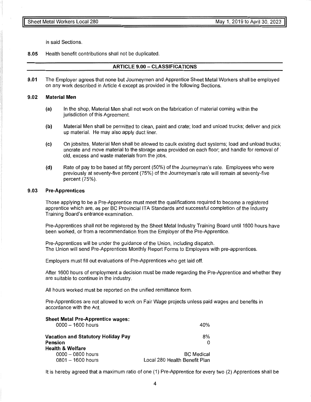in said Sections.

**8.05** Health benefit contributions shall not be duplicated.

#### **ARTICLE 9.00 - CLASSIFICATIONS**

**9.01** The Employer agrees that none but Journeymen and Apprentice Sheet Metal Workers shall be employed on any work described in Article 4 except as provided in the following Sections.

#### **9.02 Material Men**

- **(a)** In the shop, Material Men shall not work on the fabrication of material coming within the jurisdiction of this Agreement.
- **(b)** Material Men shall be permitted to clean, paint and crate; load and unload trucks; deliver and pick up material. He may also apply duct liner.
- (c) On jobsites, Material Men shall be allowed to caulk existing duct systems; load and unload trucks; uncrate and move material to the storage area provided on each floor; and handle for removal of old, excess and waste materials from the jobs.
- **(d)** Rate of pay to be based at fifty percent (50%) of the Journeyman's rate. Employees who were previously at seventy-five percent (75%) of the Journeyman's rate will remain at seventy-five percent (75%).

#### **9.03 Pre-Apprentices**

Those applying to be a Pre-Apprentice must meet the qualifications required to become a registered apprentice which are, as per BC Provincial ITA Standards and successful completion of the Industry Training Board's entrance examination.

Pre-Apprentices shall not be registered by the Sheet Metal Industry Training Board until 1600 hours have been worked, or from a recommendation from the Employer of the Pre-Apprentice.

Pre-Apprentices will be under the guidance of the Union, including dispatch. The Union will send Pre-Apprentices Monthly Report Forms to Employers with pre-apprentices.

Employers must fill out evaluations of Pre-Apprentices who get laid off.

After 1600 hours of employment a decision must be made regarding the Pre-Apprentice and whether they are suitable to continue in the industry.

All hours worked must be reported on the unified remittance form.

Pre-Apprentices are not allowed to work on Fair Wage projects unless paid wages and benefits in accordance with the Act.

| <b>Sheet Metal Pre-Apprentice wages:</b><br>$0000 - 1600$ hours                     | 40%                                                |
|-------------------------------------------------------------------------------------|----------------------------------------------------|
| Vacation and Statutory Holiday Pay<br><b>Pension</b><br><b>Health &amp; Welfare</b> | 8%<br>0                                            |
| $0000 - 0800$ hours<br>$0801 - 1600$ hours                                          | <b>BC</b> Medical<br>Local 280 Health Benefit Plan |

It is hereby agreed that a maximum ratio of one (1) Pre-Apprentice for every two (2) Apprentices shall be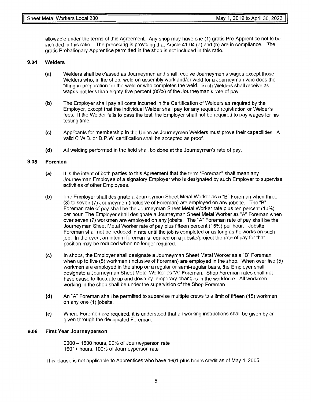allowable under the terms of this Agreement. Any shop may have one (1) gratis Pre-Apprentice not to be included in this ratio. The preceding is providing that Article 41.04 (a) and (b) are in compliance. The gratis Probationary Apprentice permitted in the shop is not included in this ratio.

#### **9.04 Welders**

- (a) Welders shall be classed as Journeymen and shall receive Journeymen's wages except those Welders who, in the shop, weld on assembly work and/or weld for a Journeyman who does the fitting in preparation for the weld or who completes the weld. Such Welders shall receive as wages not less than eighty-five percent (85%) of the Journeyman's rate of pay.
- **(b)** The Employer shall pay all costs incurred in the Certification of Welders as required by the Employer, except that the individual Welder shall pay for any required registration or Welder's fees. If the Welder fails to pass the test, the Employer shall not be required to pay wages for his testing time.
- (c) Applicants for membership in the Union as Journeymen Welders must prove their capabilities. A valid C.W.B. or D.P.W. certification shall be accepted as proof.
- **(d)** All welding performed in the field shall be done at the Journeyman's rate of pay.

#### **9.05 Foremen**

- (a) It is the intent of both parties to this Agreement that the term "Foreman" shall mean any Journeyman Employee of a signatory Employer who is designated by such Employer to supervise activities of other Employees.
- (b) The Employer shall designate a Journeyman Sheet Metal Worker as a "B" Foreman when three (3) to seven (7) Journeymen (inclusive of Foreman) are employed on any jobsite. The "B" Foreman rate of pay shall be the Journeyman Sheet Metal Worker rate plus ten percent (10%) per hour. The Employer shall designate a Journeyman Sheet Metal Worker as "A" Foreman when over seven (7) workmen are employed on any jobsite. The "A" Foreman rate of pay shall be the Journeyman Sheet Metal Worker rate of pay plus fifteen percent (15%) per hour. Jobsite Foreman shall not be reduced in rate until the job is completed or as long as he works on such job. In the event an interim foreman is required on a jobsite/project the rate of pay for that position may be reduced when no longer required.
- (c) In shops, the Employer shall designate a Journeyman Sheet Metal Worker as a "B" Foreman when up to five (5) workmen (inclusive of Foreman) are employed in the shop. When over five (5) workmen are employed in the shop on a regular or semi-regular basis, the Employer shall designate a Journeyman Sheet Metal Worker as "A" Foreman. Shop Foreman rates shall not have cause to fluctuate up and down by temporary changes in the workforce. All workmen working in the shop shall be under the supervision of the Shop Foreman.
- **(d)** An "A" Foreman shall be permitted to supervise multiple crews to a limit of fifteen (15) workmen on any one (1) jobsite.
- (e) Where Foremen are required, it is understood that all working instructions shall be given by or given through the designated Foreman.

#### **9.06 First Year Journeyperson**

0000 - 1600 hours, 90% of Journeyperson rate 1601+ hours, 100% of Journeyperson rate

This clause is not applicable to Apprentices who have 1601 plus hours credit as of May 1, 2005.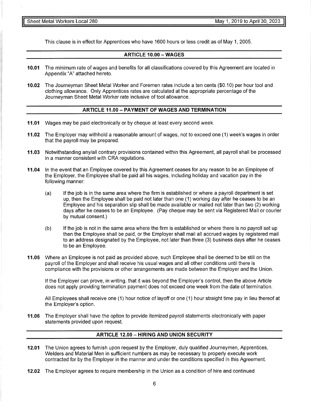This clause is in effect for Apprentices who have 1600 hours or less credit as of May 1, 2005.

#### **ARTICLE 10.00 - WAGES**

- **10.01** The minimum rate of wages and benefits for all classifications covered by this Agreement are located in Appendix "A" attached hereto.
- **10.02** The Journeyman Sheet Metal Worker and Foremen rates include a ten cents (\$0.10) per hour tool and clothing allowance. Only Apprentices rates are calculated at the appropriate percentage of the Journeyman Sheet Metal Worker rate inclusive of tool allowance.

#### **ARTICLE 11.00 - PAYMENT OF WAGES AND TERMINATION**

- **11.01** Wages may be paid electronically or by cheque at least every second week.
- **11.02** The Employer may withhold a reasonable amount of wages, not to exceed one ( 1) week's wages in order that the payroll may be prepared.
- **11.03** Notwithstanding any/all contrary provisions contained within this Agreement, all payroll shall be processed in a manner consistent with CRA regulations.
- **11.04** In the event that an Employee covered by this Agreement ceases for any reason to be an Employee of the Employer, the Employee shall be paid all his wages, including holiday and vacation pay in the following manner:
	- (a) If the job is in the same area where the firm is established or where a payroll department is set up, then the Employee shall be paid not later than one (1) working day after he ceases to be an Employee and his separation slip shall be made available or mailed not later than two (2) working days after he ceases to be an Employee. (Pay cheque may be sent via Registered Mail or courier by mutual consent.)
	- (b) If the job is not in the same area where the firm is established or where there is no payroll set up then the Employee shall be paid, or the Employer shall mail all accrued wages by registered mail to an address designated by the Employee, not later than three (3) business days after he ceases to be an Employee.
- **11.05** Where an Employee is not paid as provided above, such Employee shall be deemed to be still on the payroll of the Employer and shall receive his usual wages and all other conditions until there is compliance with the provisions or other arrangements are made between the Employer and the Union.

If the Employer can prove, in writing, that it was beyond the Employer's control, then the above Article does not apply providing termination payment does not exceed one week from the date of termination.

All Employees shall receive one (1) hour notice of layoff or one (1) hour straight time pay in lieu thereof at the Employer's option.

**11.06** The Employer shall have the option to provide itemized payroll statements electronically with paper statements provided upon request.

#### **ARTICLE 12.00 - HIRING AND UNION SECURITY**

- **12.01** The Union agrees to furnish upon request by the Employer, duly qualified Journeymen, Apprentices, Welders and Material Men in sufficient numbers as may be necessary to properly execute work contracted for by the Employer in the manner and under the conditions specified in this Agreement.
- **12.02** The Employer agrees to require membership in the Union as a condition of hire and continued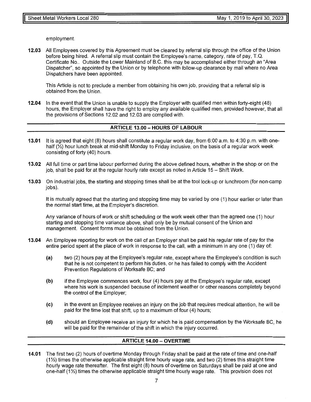employment.

**12.03** All Employees covered by this Agreement must be cleared by referral slip through the office of the Union before being hired. A referral slip must contain the Employee's name, category, rate of pay, T.Q. Certificate No.. Outside the Lower Mainland of B.C. this may be accomplished either through an "Area Dispatcher", so appointed by the Union or by telephone with follow-up clearance by mail where no Area Dispatchers have been appointed.

This Article is not to preclude a member from obtaining his own job, providing that a referral slip is obtained from the Union.

**12.04** In the event that the Union is unable to supply the Employer with qualified men within forty-eight (48) hours, the Employer shall have the right to employ any available qualified men, provided however, that all the provisions of Sections 12.02 and 12.03 are complied with.

#### **ARTICLE 13.00 - HOURS OF LABOUR**

- **13.01** It is agreed that eight (8) hours shall constitute a regular work day, from 6:00 a.m. to 4:30 p.m. with onehalf  $\langle \frac{1}{2} \rangle$  hour lunch break at mid-shift Monday to Friday inclusive, on the basis of a regular work week consisting of forty (40) hours.
- **13.02** All full time or part time labour performed during the above defined hours, whether in the shop or on the job, shall be paid for at the regular hourly rate except as noted in Article 15 - Shift Work.
- **13.03** On industrial jobs, the starting and stopping times shall be at the tool lock-up or lunchroom (for non-camp jobs).

It is mutually agreed that the starting and stopping time may be varied by one (1) hour earlier or later than the normal start time, at the Employer's discretion.

Any variance of hours of work or shift scheduling or the work week other than the agreed one (1) hour starting and stopping time variance above, shall only be by mutual consent of the Union and management. Consent forms must be obtained from the Union.

- **13.04** An Employee reporting for work on the call of an Employer shall be paid his regular rate of pay for the entire period spent at the place of work in response to the call, with a minimum in any one (1) day of:
	- **(a)** two (2) hours pay at the Employee's regular rate, except where the Employee's condition is such that he is not competent to perform his duties, or he has failed to comply with the Accident Prevention Regulations of Worksafe BC; and
	- **(b)** if the Employee commences work, four (4) hours pay at the Employee's regular rate, except where his work is suspended because of inclement weather or other reasons completely beyond the control of the Employer;
	- **(c)** in the event an Employee receives an injury on the job that requires medical attention, he will be paid for the time lost that shift, up to a maximum of four (4) hours;
	- **(d)** should an Employee receive an injury for which he is paid compensation by the Worksafe BC, he will be paid for the remainder of the shift in which the injury occurred.

#### **ARTICLE 14.00 - OVERTIME**

**14.01** The first two (2) hours of overtime Monday through Friday shall be paid at the rate of time and one-half  $(1\frac{1}{2})$  times the otherwise applicable straight time hourly wage rate, and two  $(2)$  times this straight time hourly wage rate thereafter. The first eight (8) hours of overtime on Saturdays shall be paid at one and one-half (1%) times the otherwise applicable straight time hourly wage rate. This provision does not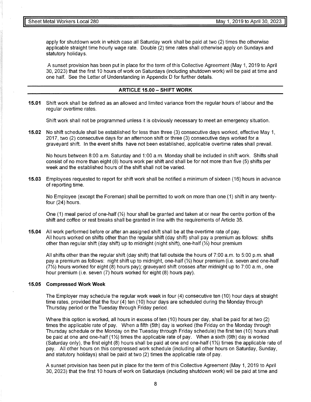apply for shutdown work in which case all Saturday work shall be paid at two (2) times the otherwise applicable straight time hourly wage rate. Double (2) time rates shall otherwise apply on Sundays and statutory holidays.

A sunset provision has been put in place for the term of this Collective Agreement (May 1, 2019 to April 30, 2023) that the first 10 hours of work on Saturdays (including shutdown work) will be paid at time and one half. See the Letter of Understanding in Appendix D for further details.

#### **ARTICLE 15.00 - SHIFT WORK**

**15.01** Shift work shall be defined as an allowed and limited variance from the regular hours of labour and the regular overtime rates.

Shift work shall not be programmed unless it is obviously necessary to meet an emergency situation.

**15.02** No shift schedule shall be established for less than three (3) consecutive days worked, effective May 1, 2017, two (2) consecutive days for an afternoon shift or three (3) consecutive days worked for a graveyard shift. In the event shifts have not been established, applicable overtime rates shall prevail.

No hours between 8:00 a.m. Saturday and 1 :00 a.m. Monday shall be included in shift work. Shifts shall consist of no more than eight (8) hours work per shift and shall be for not more than five (5) shifts per week and the established hours of the shift shall not be varied.

**15.03** Employees requested to report for shift work shall be notified a minimum of sixteen (16) hours in advance of reporting time.

No Employee (except the Foreman) shall be permitted to work on more than one (1) shift in any twentyfour (24) hours.

One (1) meal period of one-half ( $\frac{1}{2}$ ) hour shall be granted and taken at or near the centre portion of the shift and coffee or rest breaks shall be granted in line with the requirements of Article 35.

**15.04** All work performed before or after an assigned shift shall be at the overtime rate of pay. All hours worked on shifts other than the regular shift (day shift) shall pay a premium as follows: shifts other than regular shift (day shift) up to midnight (night shift), one-half  $(\frac{1}{2})$  hour premium

All shifts other than the regular shift (day shift) that fall outside the hours of 7:00 a.m. to 5:00 p.m. shall pay a premium as follows: night shift up to midnight, one-half  $\mathcal{V}_2$ ) hour premium (i.e. seven and one-half (7%) hours worked for eight (8) hours pay); graveyard shift crosses after midnight up to 7:00 a.m., one hour premium (i.e. seven (7) hours worked for eight (8) hours pay).

#### **15.05 Compressed Work Week**

The Employer may schedule the regular work week in four (4) consecutive ten (10) hour days at straight time rates, provided that the four (4) ten (10) hour days are scheduled during the Monday through Thursday period or the Tuesday through Friday period.

Where this option is worked, all hours in excess of ten (10) hours per day, shall be paid for at two (2) times the applicable rate of pay. When a fifth (5th) day is worked (the Friday on the Monday through Thursday schedule or the Monday on the Tuesday through Friday schedule) the first ten (10) hours shall be paid at one and one-half (1\%) times the applicable rate of pay. When a sixth (6th) day is worked (Saturday only), the first eight  $(8)$  hours shall be paid at one and one-half  $(1\frac{1}{2})$  times the applicable rate of pay. All other hours on this compressed work schedule (including all other hours on Saturday, Sunday, and statutory holidays) shall be paid at two (2) times the applicable rate of pay.

A sunset provision has been put in place for the term of this Collective Agreement (May 1, 2019 to April 30, 2023) that the first 10 hours of work on Saturdays (including shutdown work) will be paid at time and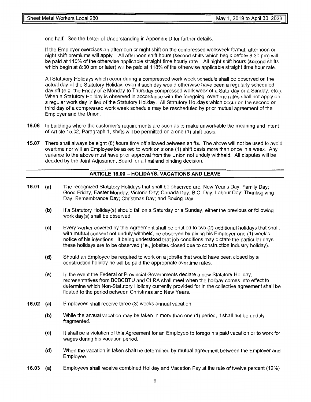one half. See the Letter of Understanding in Appendix D for further details.

If the Employer exercises an afternoon or night shift on the compressed workweek format, afternoon or night shift premiums will apply. All afternoon shift hours (second shifts which begin before 8:30 pm) will be paid at 110% of the otherwise applicable straight time hourly rate. All night shift hours (second shifts which begin at 8:30 pm or later) will be paid at 118% of the otherwise applicable straight time hour rate.

All Statutory Holidays which occur during a compressed work week schedule shall be observed on the actual day of the Statutory Holiday, even if such day would otherwise have been a regularly scheduled day off (e.g. the Friday of a Monday to Thursday compressed work week of a Saturday or a Sunday, etc.). When a Statutory Holiday is observed in accordance with the foregoing, overtime rates shall not apply on a regular work day in lieu of the Statutory Holiday. All Statutory Holidays which occur on the second or third day of a compressed work week schedule may be rescheduled by prior mutual agreement of the Employer and the Union.

- **15.06** In buildings where the customer's requirements are such as to make unworkable the meaning and intent of Article 15.02, Paragraph 1, shifts will be permitted on a one (1) shift basis.
- **15.07** There shall always be eight (8) hours time off allowed between shifts. The above will not be used to avoid overtime nor will an Employee be asked to work on a one ( 1) shift basis more than once in a week. Any variance to the above must have prior approval from the Union not unduly withheld. All disputes will be decided by the Joint Adjustment Board for a final and binding decision.

#### **ARTICLE 16.00- HOLIDAYS, VACATIONS AND LEAVE**

- **16.01** (a) The recognized Statutory Holidays that shall be observed are: New Year's Day; Family Day; Good Friday, Easter Monday; Victoria Day; Canada Day; B.C. Day; Labour Day; Thanksgiving Day; Remembrance Day; Christmas Day; and Boxing Day.
	- **(b)**  If a Statutory Holiday(s) should fall on a Saturday or a Sunday, either the previous or following work day(s) shall be observed.
	- (c) Every worker covered by this Agreement shall be entitled to two (2) additional holidays that shall, with mutual consent not unduly withheld, be observed by giving his Employer one (1) week's notice of his intentions. It being understood that job conditions may dictate the particular days these holidays are to be observed (i.e., jobsites closed due to construction industry holiday).
	- **(d)**  Should an Employee be required to work on a jobsite that would have been closed by a construction holiday he will be paid the appropriate overtime rates.
	- (e) In the event the Federal or Provincial Governments declare a new Statutory Holiday, representatives from BCBCBTU and CLRA shall meet when the holiday comes into effect to determine which Non-Statutory Holiday currently provided for in the collective agreement shall be floated to the period between Christmas and New Years.
- **16.02** (a) Employees shall receive three (3) weeks annual vacation.
	- (b) While the annual vacation may be taken in more than one (1) period, it shall not be unduly fragmented.
	- (c) It shall be a violation of this Agreement for an Employee to forego his paid vacation or to work for wages during his vacation period.
	- **(d)**  When the vacation is taken shall be determined by mutual agreement between the Employer and Employee.
- **16.03** (a) Employees shall receive combined Holiday and Vacation Pay at the rate of twelve percent ( 12%)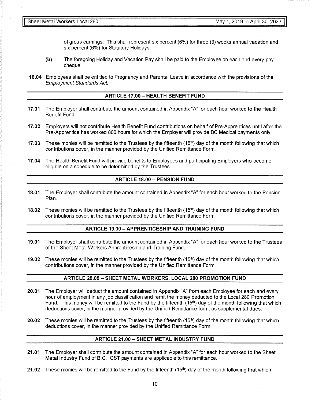of gross earnings. This shall represent six percent (6%) for three (3) weeks annual vacation and six percent (6%) for Statutory Holidays.

- (b) The foregoing Holiday and Vacation Pay shall be paid to the Employee on each and every pay cheque.
- **16.04** Employees shall be entitled to Pregnancy and Parental Leave in accordance with the provisions of the Employment Standards Act.

#### **ARTICLE 17.00 - HEAL TH BENEFIT FUND**

- **17.01** The Employer shall contribute the amount contained in Appendix "A" for each hour worked to the Health Benefit Fund.
- **17.02** Employers will not contribute Health Benefit Fund contributions on behalf of Pre-Apprentices until after the Pre-Apprentice has worked 800 hours for which the Employer will provide BC Medical payments only.
- **17.03** These monies will be remitted to the Trustees by the fifteenth (15<sup>th</sup>) day of the month following that which contributions cover, in the manner provided by the Unified Remittance Form.
- **17.04** The Health Benefit Fund will provide benefits to Employees and participating Employers who become eligible on a schedule to be determined by the Trustees.

#### **ARTICLE 18.00- PENSION FUND**

- **18.01** The Employer shall contribute the amount contained in Appendix "A" for each hour worked to the Pension Plan.
- 18.02 These monies will be remitted to the Trustees by the fifteenth (15<sup>th</sup>) day of the month following that which contributions cover, in the manner provided by the Unified Remittance Form.

#### **ARTICLE 19.00 -APPRENTICESHIP AND TRAINING FUND**

- **19.01** The Employer shall contribute the amount contained in Appendix "A" for each hour worked to the Trustees of the Sheet Metal Workers Apprenticeship and Training Fund.
- 19.02 These monies will be remitted to the Trustees by the fifteenth (15<sup>th</sup>) day of the month following that which contributions cover, in the manner provided by the Unified Remittance Form.

#### **ARTICLE 20.00 - SHEET METAL WORKERS, LOCAL 280 PROMOTION FUND**

- **20.01** The Employer will deduct the amount contained in Appendix "A" from each Employee for each and every hour of employment in any job classification and remit the money deducted to the Local 280 Promotion Fund. This money will be remitted to the Fund by the fifteenth (15<sup>th</sup>) day of the month following that which deductions cover, in the manner provided by the Unified Remittance form, as supplemental dues.
- 20.02 These monies will be remitted to the Trustees by the fifteenth (15<sup>th</sup>) day of the month following that which deductions cover, in the manner provided by the Unified Remittance Form.

#### **ARTICLE 21.00-SHEET METAL INDUSTRY FUND**

- **21.01** The Employer shall contribute the amount contained in Appendix "A" for each hour worked to the Sheet Metal Industry Fund of B.C. GST payments are applicable to this remittance.
- 21.02 These monies will be remitted to the Fund by the fifteenth (15<sup>th</sup>) day of the month following that which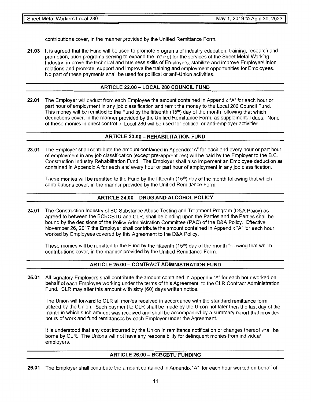contributions cover, in the manner provided by the Unified Remittance Form.

**21.03** It is agreed that the Fund will be used to promote programs of industry education, training, research and promotion, such programs serving to expand the market for the services of the Sheet Metal Working Industry, improve the technical and business skills of Employers, stabilize and improve Employer/Union relations and promote, support and improve the training and employment opportunities for Employees. No part of these payments shall be used for political or anti-Union activities.

#### **ARTICLE 22.00 - LOCAL 280 COUNCIL FUND**

**22.01** The Employer will deduct from each Employee the amount contained in Appendix "A" for each hour or part hour of employment in any job classification and remit the money to the Local 280 Council Fund. This money will be remitted to the Fund by the fifteenth (15th) day of the month following that which deductions cover, in the manner provided by the Unified Remittance Form, as supplemental dues. None of these monies in direct control of Local 280 will be used for political or anti-employer activities.

#### **ARTICLE 23.00- REHABILITATION FUND**

**23.01** The Employer shall contribute the amount contained in Appendix "A" for each and every hour or part hour of employment in any job classification (except pre-apprentices) will be paid by the Employer to the B.C. Construction Industry Rehabilitation Fund. The Employer shall also implement an Employee deduction as contained in Appendix A for each and every hour or part hour of employment in any job classification.

These monies will be remitted to the Fund by the fifteenth (15<sup>th</sup>) day of the month following that which contributions cover, in the manner provided by the Unified Remittance Form.

#### **ARTICLE 24.00 - DRUG AND ALCOHOL POLICY**

**24.01** The Construction Industry of BC Substance Abuse Testing and Treatment Program (D&A Policy) as agreed to between the BCBCBTU and CLR, shall be binding upon the Parties and the Parties shall be bound by the decisions of the Policy Administration Committee (PAC) of the D&A Policy. Effective November 26, 2017 the Employer shall contribute the amount contained in Appendix "A" for each hour worked by Employees covered by this Agreement to the D&A Policy.

These monies will be remitted to the Fund by the fifteenth (15<sup>th</sup>) day of the month following that which contributions cover, in the manner provided by the Unified Remittance Form.

#### **ARTICLE 25.00- CONTRACT ADMINISTRATION FUND**

**25.01** All signatory Employers shall contribute the amount contained in Appendix "A" for each hour worked on behalf of each Employee working under the terms of this Agreement, to the CLR Contract Administration Fund. CLR may alter this amount with sixty (60) days written notice.

The Union will forward to CLR all monies received in accordance with the standard remittance form utilized by the Union. Such payment to CLR shall be made by the Union not later then the last day of the month in which such amount was received and shall be accompanied by a summary report that provides hours of work and fund remittances by each Employer under the Agreement.

It is understood that any cost incurred by the Union in remittance notification or changes thereof shall be borne by CLR. The Unions will not have any responsibility for delinquent monies from individual employers.

#### **ARTICLE 26.00 - BCBCBTU FUNDING**

**26.01** The Employer shall contribute the amount contained in Appendix "A" for each hour worked on behalf of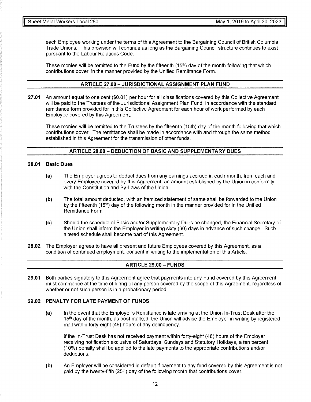each Employee working under the terms of this Agreement to the Bargaining Council of British Columbia Trade Unions. This provision will continue as long as the Bargaining Council structure continues to exist pursuant to the Labour Relations Code.

These monies will be remitted to the Fund by the fifteenth  $(15<sup>th</sup>)$  day of the month following that which contributions cover, in the manner provided by the Unified Remittance Form.

#### **ARTICLE 27.00 - JURISDICTIONAL ASSIGNMENT PLAN FUND**

**27.01** An amount equal to one cent (\$0.01) per hour for all classifications covered by this Collective Agreement will be paid to the Trustees of the Jurisdictional Assignment Plan Fund, in accordance with the standard remittance form provided for in this Collective Agreement for each hour of work performed by each Employee covered by this Agreement.

These monies will be remitted to the Trustees by the fifteenth (15th) day of the month following that which contributions cover. The remittance shall be made in accordance with and through the same method established in this Agreement for the transmission of other funds.

#### **ARTICLE 28.00 - DEDUCTION OF BASIC AND SUPPLEMENTARY DUES**

#### **28.01 Basic Dues**

- **(a)** The Employer agrees to deduct dues from any earnings accrued in each month, from each and every Employee covered by this Agreement, an amount established by the Union in conformity with the Constitution and By-Laws of the Union.
- **(b)** The total amount deducted, with an itemized statement of same shall be forwarded to the Union by the fifteenth (15<sup>th</sup>) day of the following month in the manner provided for in the Unified Remittance Form.
- **(c)** Should the schedule of Basic and/or Supplementary Dues be changed, the Financial Secretary of the Union shall inform the Employer in writing sixty (60) days in advance of such change. Such altered schedule shall become part of this Agreement.

**28.02** The Employer agrees to have all present and future Employees covered by this Agreement, as a condition of continued employment, consent in writing to the implementation of this Article.

#### **ARTICLE 29.00 - FUNDS**

**29.01** Both parties signatory to this Agreement agree that payments into any Fund covered by this Agreement must commence at the time of hiring of any person covered by the scope of this Agreement, regardless of whether or not such person is in a probationary period.

#### **29.02 PENAL TY FOR LATE PAYMENT OF FUNDS**

**(a)** In the event that the Employer's Remittance is late arriving at the Union In-Trust Desk after the 15<sup>th</sup> day of the month, as post marked, the Union will advise the Employer in writing by registered mail within forty-eight (48) hours of any delinquency.

If the In-Trust Desk has not received payment within forty-eight (48) hours of the Employer receiving notification exclusive of Saturdays, Sundays and Statutory Holidays, a ten percent ( 10%) penalty shall be applied to the late payments to the appropriate contributions and/or deductions.

**(b)** An Employer will be considered in default if payment to any fund covered by this Agreement is not paid by the twenty-fifth (25<sup>th</sup>) day of the following month that contributions cover.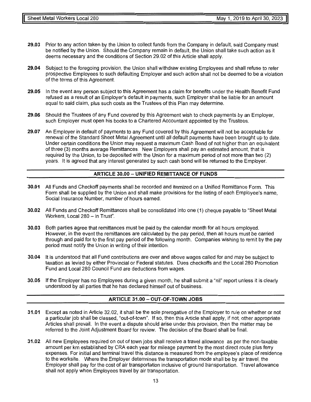- **29.03** Prior to any action taken by the Union to collect funds from the Company in default, said Company must be notified by the Union. Should the Company remain in default, the Union shall take such action as it deems necessary and the conditions of Section 29.02 of this Article shall apply.
- **29.04** Subject to the foregoing provision, the Union shall withdraw existing Employees and shall refuse to refer prospective Employees to such defaulting Employer and such action shall not be deemed to be a violation of the terms of this Agreement.
- **29.05** In the event any person subject to this Agreement has a claim for benefits under the Health Benefit Fund refused as a result of an Employer's default in payments, such Employer shall be liable for an amount equal to said claim, plus such costs as the Trustees of this Plan may determine.
- **29.06** Should the Trustees of any Fund covered by this Agreement wish to check payments by an Employer, such Employer must open his books to a Chartered Accountant appointed by the Trustees.
- **29.07** An Employer in default of payments to any Fund covered by this Agreement will not be acceptable for renewal of the Standard Sheet Metal Agreement until all default payments have been brought up to date. Under certain conditions the Union may request a maximum Cash Bond of not higher than an equivalent of three (3) months average Remittances. New Employers shall pay an estimated amount, that is required by the Union, to be deposited with the Union for a maximum period of not more than two (2) years. It is agreed that any interest generated by such cash bond will be returned to the Employer.

#### **ARTICLE 30.00 - UNIFIED REMITTANCE OF FUNDS**

- **30.01** All Funds and Checkoff payments shall be recorded and itemized on a Unified Remittance Form. This Form shall be supplied by the Union and shall make provisions for the listing of each Employee's name, Social Insurance Number, number of hours earned.
- **30.02** All Funds and Checkoff Remittances shall be consolidated into one (1) cheque payable to "Sheet Metal Workers, Local 280 - in Trust".
- **30.03** Both parties agree that remittances must be paid by the calendar month for all hours employed. However, in the event the remittances are calculated by the pay period, then all hours must be carried through and paid for to the first pay period of the following month. Companies wishing to remit by the pay period must notify the Union in writing of their intention.
- **30.04** It is understood that all Fund contributions are over and above wages called for and may be subject to taxation as levied by either Provincial or Federal statutes. Dues checkoffs and the Local 280 Promotion Fund and Local 280 Council Fund are deductions from wages.
- **30.05** If the Employer has no Employees during a given month, he shall submit a "nil" report unless it is clearly understood by all parties that he has declared himself out of business.

#### **ARTICLE 31.00- OUT-OF-TOWN JOBS**

- **31.01** Except as noted in Article 32.02, it shall be the sole prerogative of the Employer to rule on whether or not a particular job shall be classed, "out-of-town". If so, then this Article shall apply, if not, other appropriate Articles shall prevail. In the event a dispute should arise under this provision, then the matter may be referred to the Joint Adjustment Board for review. The decision of the Board shall be final.
- **31.02** All new Employees required on out of town jobs shall receive a travel allowance as per the non-taxable amount per km established by CRA each year for mileage payment by the most direct route plus ferry expenses. For initial and terminal travel this distance is measured from the employee's place of residence to the worksite. Where the Employer determines the transportation mode shall be by air travel, the Employer shall pay for the cost of air transportation inclusive of ground transportation. Travel allowance shall not apply when Employees travel by air transportation.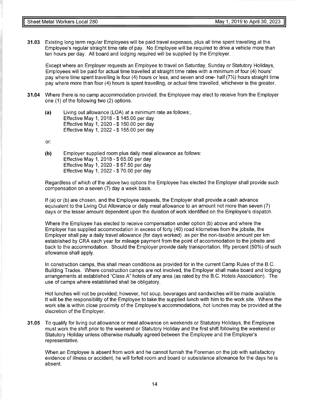**31.03** Existing long term regular Employees will be paid travel expenses, plus all time spent travelling at the Employee's regular straight time rate of pay. No Employee will be required to drive a vehicle more than ten hours per day. All board and lodging required will be supplied by the Employer.

Except where an Employer requests an Employee to travel on Saturday, Sunday or Statutory Holidays, Employees will be paid for actual time travelled at straight time rates with a minimum of four (4) hours' pay where time spent travelling is four (4) hours or less, and seven and one- half (7%) hours straight time pay where more than four (4) hours is spent travelling, or actual time travelled, whichever is the greater.

- **31.04** Where there is no camp accommodation provided, the Employee may elect to receive from the Employer one (1) of the following two (2) options.
	- **(a)** Living out allowance (LOA) at a minimum rate as follows:, Effective May 1, 2018 - \$ 145.00 per day Effective May 1, 2020 - \$ 150.00 per day Effective May 1, 2022 - \$ 155.00 per day

or:

**(b)** Employer supplied room plus daily meal allowance as follows: Effective May 1, 2018 - \$ 65.00 per day Effective May 1, 2020 - \$ 67.50 per day Effective May 1, 2022 - \$ 70.00 per day

Regardless of which of the above two options the Employee has elected the Employer shall provide such compensation on a seven (7) day a week basis.

If (a) or (b) are chosen, and the Employee requests, the Employer shall provide a cash advance equivalent to the Living Out Allowance or daily meal allowance to an amount not more than seven (7) days or the lesser amount dependent upon the duration of work identified on the Employee's dispatch.

Where the Employee has elected to receive compensation under option (b) above and where the Employer has supplied accommodation in excess of forty (40) road kilometres from the jobsite, the Employer shall pay a daily travel allowance (for days worked) as per the non-taxable amount per km established by CRA each year for mileage payment from the point of accommodation to the jobsite and back to the accommodation. Should the Employer provide daily transportation, fifty percent (50%) of such allowance shall apply.

In construction camps, this shall mean conditions as provided for in the current Camp Rules of the B.C. Building Trades. Where construction camps are not involved, the Employer shall make board and lodging arrangements at established "Class A" hotels of any area (as rated by the B.C. Hotels Association). The use of camps where established shall be obligatory.

Hot lunches will not be provided; however, hot soup, beverages and sandwiches will be made available. It will be the responsibility of the Employee to take the supplied lunch with him to the work site. Where the work site is within close proximity of the Employee's accommodations, hot lunches may be provided at the discretion of the Employer.

**31.05** To qualify for living out allowance or meal allowance on weekends or Statutory Holidays, the Employee must work the shift prior to the weekend or Statutory Holiday and the first shift following the weekend or Statutory Holiday unless otherwise mutually agreed between the Employee and the Employer's representative.

When an Employee is absent from work and he cannot furnish the Foreman on the job with satisfactory evidence of illness or accident, he will forfeit room and board or subsistence allowance for the days he is absent.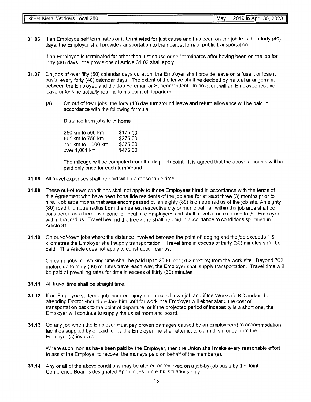**31.06** If an Employee self terminates or is terminated for just cause and has been on the job less than forty (40) days, the Employer shall provide transportation to the nearest form of public transportation.

If an Employee is terminated for other than just cause or self terminates after having been on the job for forty (40) days, the provisions of Article 31.02 shall apply.

- **31.07** On jobs of over fifty (50) calendar days duration, the Employer shall provide leave on a "use it or lose it" basis, every forty (40) calendar days. The extent of the leave shall be decided by mutual arrangement between the Employee and the Job Foreman or Superintendent. In no event will an Employee receive leave unless he actually returns to his point of departure.
	- (a) On out of town jobs, the forty (40) day turnaround leave and return allowance will be paid in accordance with the following formula.

Distance from jobsite to home

250 km to 500 km 501 km to 750 km 751 km to 1,000 km over 1,001 km \$175.00 \$275.00 \$375.00 \$475.00

The mileage will be computed from the dispatch point. It is agreed that the above amounts will be paid only once for each turnaround.

- **31.08** All travel expenses shall be paid within a reasonable time.
- **31.09** These out-of-town conditions shall not apply to those Employees hired in accordance with the terms of this Agreement who have been bona fide residents of the job area for at least three (3) months prior to hire. Job area means that area encompassed by an eighty (80) kilometre radius of the job site. An eighty (80) road kilometre radius from the nearest respective city or municipal hall within the job area shall be considered as a free travel zone for local hire Employees and shall travel at no expense to the Employer within that radius. Travel beyond the free zone shall be paid in accordance to conditions specified in Article 31.
- **31.10** On out-of-town jobs where the distance involved between the point of lodging and the job exceeds 1.61 kilometres the Employer shall supply transportation. Travel time in excess of thirty (30) minutes shall be paid. This Article does not apply to construction camps.

On camp jobs, no walking time shall be paid up to 2500 feet (762 meters) from the work site. Beyond 762 meters up to thirty (30) minutes travel each way, the Employer shall supply transportation. Travel time will be paid at prevailing rates for time in excess of thirty (30) minutes.

- **31.11** All travel time shall be straight time.
- **31.12** If an Employee suffers a job-incurred injury on an out-of-town job and if the Worksafe BC and/or the attending Doctor should declare him unfit for work, the Employer will either stand the cost of transportation back to the point of departure, or if the projected period of incapacity is a short one, the Employer will continue to supply the usual room and board.
- **31.13** On any job when the Employer must pay proven damages caused by an Employee(s) to accommodation facilities supplied by or paid for by the Employer, he shall attempt to claim this money from the Employee(s) involved.

Where such monies have been paid by the Employer, then the Union shall make every reasonable effort to assist the Employer to recover the moneys paid on behalf of the member(s).

**31.14** Any or all of the above conditions may be altered or removed on a job-by-job basis by the Joint Conference Board's designated Appointees in pre-bid situations only.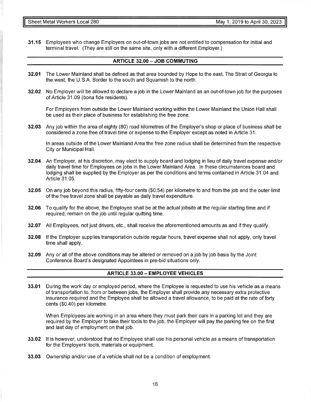**31.15** Employees who change Employers on out-of-town jobs are not entitled to compensation for initial and terminal travel. (They are still on the same site, only with a different Employer.)

#### **ARTICLE 32.00 - JOB COMMUTING**

- **32.01** The Lower Mainland shall be defined as that area bounded by Hope to the east, The Strait of Georgia to the west, the U.S.A. Border to the south and Squamish to the north.
- **32.02** No Employer will be allowed to declare a job in the Lower Mainland as an out-of-town job for the purposes of Article 31.09 (bona fide residents).

For Employers from outside the Lower Mainland working within the Lower Mainland the Union Hall shall be used as their place of business for establishing the free zone.

**32.03** Any job within the area of eighty (80) road kilometres of the Employer's shop or place of business shall be considered a zone free of travel time or expense to the Employer except as noted in Article 31.

In areas outside of the Lower Mainland Area the free zone radius shall be determined from the respective City or Municipal Hall.

- **32.04** An Employer, at his discretion, may elect to supply board and lodging in lieu of daily travel expense and/or daily travel time for Employees on jobs in the Lower Mainland Area. In these circumstances board and lodging shall be supplied by the Employer as per the conditions and terms contained in Article 31.04 and Article 31.05.
- **32.05** On any job beyond this radius, fifty-four cents (\$0.54) per kilometre to and from the job and the outer limit of the free travel zone shall be payable as daily travel expenditure.
- **32.06** To qualify for the above, the Employee shall be at the actual jobsite at the regular starting time and if required, remain on the job until regular quitting time.
- **32.07** All Employees, not just drivers, etc., shall receive the aforementioned amounts as and if they qualify.
- **32.08** If the Employer supplies transportation outside regular hours, travel expense shall not apply, only travel time shall apply.
- **32.09** Any or all of the above conditions may be altered or removed on a job by job basis by the Joint Conference Board's designated Appointees in pre-bid situations only.

#### **ARTICLE 33.00 - EMPLOYEE VEHICLES**

**33.01** During the work day or employed period, where the Employee is requested to use his vehicle as a means of transportation to, from or between jobs, the Employer shall provide any necessary extra protective insurance required and the Employee shall be allowed a travel allowance, to be paid at the rate of forty cents (\$0.40) per kilometre.

When Employees are working in an area where they must park their cars in a parking lot and they are required by the Employer to take their tools to the job, the Employer will pay the parking fee on the first and last day of employment on that job.

- **33.02** It is however, understood that no Employee shall use his personal vehicle as a means of transportation for the Employers' tools, materials or equipment.
- **33.03** Ownership and/or use of a vehicle shall not be a condition of employment.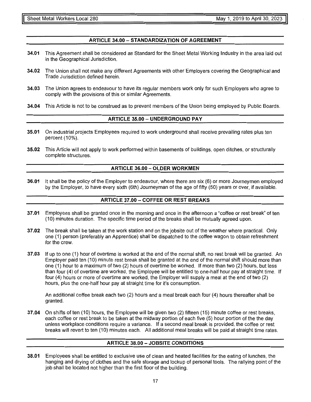#### **ARTICLE 34.00-STANDARDIZATION OF AGREEMENT**

- **34.01** This Agreement shall be considered as Standard for the Sheet Metal Working Industry in the area laid out in the Geographical Jurisdiction.
- **34.02** The Union shall not make any different Agreements with other Employers covering the Geographical and Trade Jurisdiction defined herein.
- **34.03** The Union agrees to endeavour to have its regular members work only for such Employers who agree to comply with the provisions of this or similar Agreements.
- **34.04** This Article is not to be construed as to prevent members of the Union being employed by Public Boards.

#### **ARTICLE 35.00 - UNDERGROUND PAY**

- **35.01** On industrial projects Employees required to work underground shall receive prevailing rates plus ten percent (10%).
- **35.02** This Article will not apply to work performed within basements of buildings, open ditches, or structurally complete structures.

#### **ARTICLE 36.00 - OLDER WORKMEN**

**36.01** It shall be the policy of the Employer to endeavour, where there are six (6) or more Journeymen employed by the Employer, to have every sixth (6th) Journeyman of the age of fifty (50) years or over, if available.

#### **ARTICLE 37 .00 - COFFEE OR REST BREAKS**

- **37.01** Employees shall be granted once in the morning and once in the afternoon a "coffee or rest break" of ten (10) minutes duration. The specific time period of the breaks shall be mutually agreed upon.
- **37 .02** The break shall be taken at the work station and on the jobsite out of the weather where practical. Only one (1) person (preferably an Apprentice) shall be dispatched to the coffee wagon to obtain refreshment for the crew.
- **37.03** If up to one (1) hour of overtime is worked at the end of the normal shift, no rest break will be granted. An Employer paid ten (10) minute rest break shall be granted at the end of the normal shift should more than one (1) hour to a maximum of two (2) hours of overtime be worked. If more than two (2) hours, but less than four (4) of overtime are worked, the Employee will be entitled to one-half hour pay at straight time. If four (4) hours or more of overtime are worked, the Employer will supply a meal at the end of two (2) hours, plus the one-half hour pay at straight time for it's consumption.

An additional coffee break each two (2) hours and a meal break each four (4) hours thereafter shall be granted.

**37 .04** On shifts of ten ( 10) hours, the Employee will be given two (2) fifteen ( 15) minute coffee or rest breaks, each coffee or rest break to be taken at the midway portion of each five (5) hour portion of the the day unless workplace conditions require a variance. If a second meal break is provided, the coffee or rest breaks will revert to ten (10) minutes each. All additional meal breaks will be paid at straight time rates.

#### **ARTICLE 38.00 - JOBSITE CONDITIONS**

**38.01** Employees shall be entitled to exclusive use of clean and heated facilities for the eating of lunches, the hanging and drying of clothes and the safe storage and lockup of personal tools. The rallying point of the job shall be located not higher than the first floor of the building.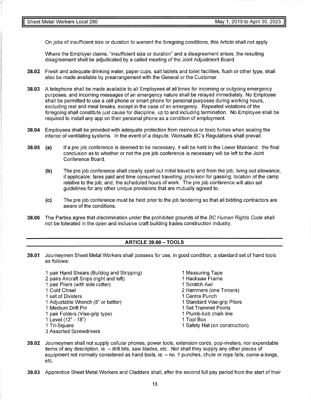On jobs of insufficient size or duration to warrant the foregoing conditions, this Article shall not apply.

Where the Employer claims, "insufficient size or duration" and a disagreement arises, the resulting disagreement shall be adjudicated by a called meeting of the Joint Adjustment Board.

- **38.02** Fresh and adequate drinking water, paper cups, salt tablets and toilet facilities, flush or other type, shall also be made available by prearrangement with the General or the Customer.
- **38.03** A telephone shall be made available to all Employees at all times for incoming or outgoing emergency purposes, and incoming messages of an emergency nature shall be relayed immediately. No Employee shall be permitted to use a cell phone or smart phone for personal purposes during working hours, excluding rest and meal breaks, except in the case of an emergency. Repeated violations of the foregoing shall constitute just cause for discipline, up to and including termination. No Employee shall be required to install any app on their personal phone as a condition of employment.
- **38.04** Employees shall be provided with adequate protection from resinous or toxic fumes when sealing the interior of ventilating systems. In the event of a dispute, Worksafe BC's Regulations shall prevail.
- **38.05 (a)** If a pre job conference is deemed to be necessary, it will be held in the Lower Mainland. the final conclusion as to whether or not the pre job conference is necessary will be left to the Joint Conference Board.
	- **(b)** The pre job conference shall clearly spell out initial travel to and from the job; living out allowance, if applicable; fares paid and time consumed travelling; provision for gassing; location of the camp relative to the job; and, the scheduled hours of work. The pre job conference will also set guidelines for any other unique provisions that are mutually agreed to.
	- (c) The pre job conference must be held prior to the job tendering so that all bidding contractors are aware of the conditions.
- **38.06** The Parties agree that discrimination under the prohibited grounds of the BC Human Rights Code shall not be tolerated in the open and inclusive craft building trades construction industry.

#### **ARTICLE 39.00 - TOOLS**

- **39.01** Journeymen Sheet Metal Workers shall possess for use, in good condition, a standard set of hand tools as follows:
	- 1 pair Hand Shears (Bulldog and Stripping) 2 pairs Aircraft Snips (right and left)
	- 1 pair Pliers (with side cutter)
	- 1 Cold Chisel
	- 1 set of Dividers
	- 1 Adjustable Wrench (8" or better)
	- 1 Medium Drift Pin
	- 1 pair Folders (Vise-grip type)
	- 1 Level ( 12" 18")
	- 1 Tri-Square
	- 3 Assorted Screwdrivers
- 1 Measuring Tape
- 1 Hacksaw Frame
- 1 Scratch Awl
- 2 Hammers (one Tinners)
- 1 Centre Punch
- 1 Standard Vise-grip Pliers
- 1 Set Trammel Points
- 1 Plumb-bob chalk line
- 1 Tool Box
- 1 Safety Hat (on construction)
- **39.02** Journeymen shall not supply cellular phones, power tools, extension cords, pop-riveters, nor expendable items of any description, ie. - drill bits, saw blades, etc. Nor shall they supply any other pieces of equipment not normally considered as hand tools, ie. - no. 1 punches, chute or rope falls, come-a-longs, etc.
- **39.03** Apprentice Sheet Metal Workers and Cladders shall, after the second full pay period from the start of their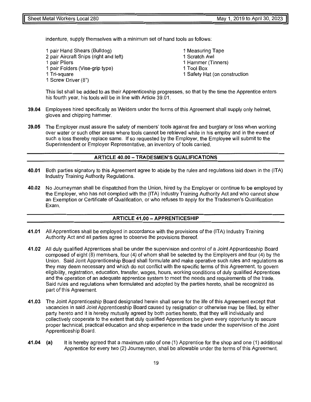indenture, supply themselves with a minimum set of hand tools as follows:

1 pair Hand Shears (Bulldog) 2 pair Aircraft Snips (right and left) 1 pair Pliers 1 pair Folders (Vise-grip type) 1 Tri-square 1 Screw Driver (8") 1 Measuring Tape 1 Scratch Awl 1 Hammer (Tinners) 1 Tool Box 1 Safety Hat (on construction

This list shall be added to as their Apprenticeship progresses, so that by the time the Apprentice enters his fourth year, his tools will be in line with Article 39.01.

- **39.04** Employees hired specifically as Welders under the terms of this Agreement shall supply only helmet, gloves and chipping hammer.
- **39.05** The Employer must assure the safety of members' tools against fire and burglary or loss when working over water or such other areas where tools cannot be retrieved while in his employ and in the event of such a loss thereby replace same. If so requested by the Employer, the Employee will submit to the Superintendent or Employer Representative, an inventory of tools carried.

#### **ARTICLE 40.00 - TRADESMEN'S QUALIFICATIONS**

- **40.01** Both parties signatory to this Agreement agree to abide by the rules and regulations laid down in the (ITA) Industry Training Authority Regulations.
- **40.02** No Journeyman shall be dispatched from the Union, hired by the Employer or continue to be employed by the Employer, who has not complied with the (ITA) Industry Training Authority Act and who cannot show an Exemption or Certificate of Qualification, or who refuses to apply for the Tradesmen's Qualification Exam.

#### **ARTICLE 41.00-APPRENTICESHIP**

- **41.01** All Apprentices shall be employed in accordance with the provisions of the {ITA) Industry Training Authority Act and all parties agree to observe the provisions thereof.
- **41.02** All duly qualified Apprentices shall be under the supervision and control of a Joint Apprenticeship Board composed of eight (8) members, four (4) of whom shall be selected by the Employers and four (4) by the Union. Said Joint Apprenticeship Board shall formulate and make operative such rules and regulations as they may deem necessary and which do not conflict with the specific terms of this Agreement, to govern eligibility, registration, education, transfer, wages, hours, working conditions of duly qualified Apprentices and the operation of an adequate apprentice system to meet the needs and requirements of the trade. Said rules and regulations when formulated and adopted by the parties hereto, shall be recognized as part of this Agreement.
- **41.03** The Joint Apprenticeship Board designated herein shall serve for the life of this Agreement except that vacancies in said Joint Apprenticeship Board caused by resignation or otherwise may be filled, by either party hereto and it is hereby mutually agreed by both parties hereto, that they will individually and collectively cooperate to the extent that duly qualified Apprentices be given every opportunity to secure proper technical, practical education and shop experience in the trade under the supervision of the Joint Apprenticeship Board.
- **41.04** (a) It is hereby agreed that a maximum ratio of one (1) Apprentice for the shop and one (1) additional Apprentice for every two (2) Journeymen, shall be allowable under the terms of this Agreement.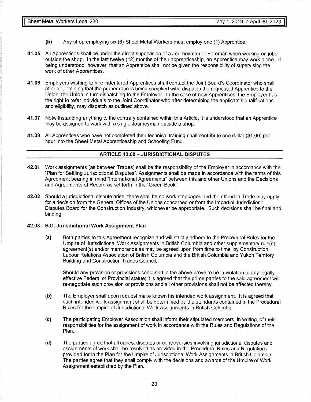- **(b)** Any shop employing six (6) Sheet Metal Workers must employ one (1) Apprentice.
- **41.05** All Apprentices shall be under the direct supervision of a Journeyman or Foreman when working on jobs outside the shop. In the last twelve (12) months of their apprenticeship, an Apprentice may work alone. It being understood, however, that an Apprentice shall not be given the responsibility of supervising the work of other Apprentices.
- **41.06** Employers wishing to hire indentured Apprentices shall contact the Joint Board's Coordinator who shall after determining that the proper ratio is being complied with, dispatch the requested Apprentice to the Union, the Union in turn dispatching to the Employer. In the case of new Apprentices, the Employer has the right to refer individuals to the Joint Coordinator who after determining the applicant's qualifications and eligibility, may dispatch as outlined above.
- **41.07** Notwithstanding anything to the contrary contained within this Article, it is understood that an Apprentice may be assigned to work with a single Journeyman outside a shop.
- **41.08** All Apprentices who have not completed their technical training shall contribute one dollar (\$1.00) per hour into the Sheet Metal Apprenticeship and Schooling Fund.

#### **ARTICLE 42.00 - JURISDICTIONAL DISPUTES**

- **42.01** Work assignments (as between Trades) shall be the responsibility of the Employer in accordance with the "Plan for Settling Jurisdictional Disputes". Assignments shall be made in accordance with the terms of this Agreement bearing in mind "International Agreements" between this and other Unions and the Decisions and Agreements of Record as set forth in the "Green Book".
- **42.02** Should a jurisdictional dispute arise, there shall be no work stoppages and the offended Trade may apply for a decision from the General Offices of the Unions concerned or from the Impartial Jurisdictional Disputes Board for the Construction Industry, whichever be appropriate. Such decisions shall be final and binding.

#### **42.03 B.C. Jurisdictional Work Assignment Plan**

**(a)** Both parties to this Agreement recognize and will strictly adhere to the Procedural Rules for the Umpire of Jurisdictional Work Assignments in British Columbia and other supplementary rule(s), agreement(s) and/or memoranda as may be agreed upon from time to time by Construction Labour Relations Association of British Columbia and the British Columbia and Yukon Territory Building and Construction Trades Council.

Should any provision or provisions contained in the above prove to be in violation of any legally effective Federal or Provincial statue; it is agreed that the prime parties to the said agreement will re-negotiate such provision or provisions and all other provisions shall not be affected thereby.

- **(b)** The Employer shall upon request make known his intended work assignment. It is agreed that such intended work assignment shall be determined by the standards contained in the Procedural Rules for the Umpire of Jurisdictional Work Assignments in British Columbia.
- (c) The participating Employer Association shall inform their stipulated members, in writing, of their responsibilities for the assignment of work in accordance with the Rules and Regulations of the Plan.
- **(d)** The parties agree that all cases, disputes or controversies involving jurisdictional disputes and assignments of work shall be resolved as provided in the Procedural Rules and Regulations provided for in the Plan for the Umpire of Jurisdictional Work Assignments in British Columbia. The parties agree that they shall comply with the decisions and awards of the Umpire of Work Assignment established by the Plan.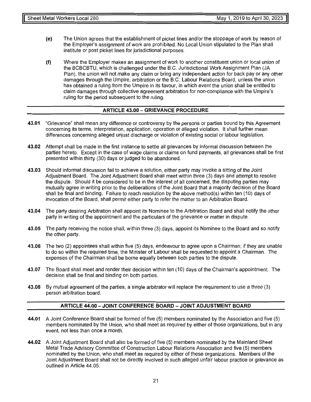- (e) The Union agrees that the establishment of picket lines and/or the stoppage of work by reason of the Employer's assignment of work are prohibited. No Local Union stipulated to the Plan shall institute or post picket lines for jurisdictional purposes.
- (f) Where the Employer makes an assignment of work to another constituent union or local union of the BCBCBTU, which is challenged under the B.C. Jurisdictional Work Assignment Plan (JA Plan), the union will not make any claim or bring any independent action for back pay or any other damages through the Umpire, arbitration or the B.C. Labour Relations Board, unless the union has obtained a ruling from the Umpire in its favour, in which event the union shall be entitled to claim damages through collective agreement arbitration for non-compliance with the Umpire's ruling for the period subsequent to the ruling.

#### **ARTICLE 43.00 - GRIEVANCE PROCEDURE**

- **43.01** "Grievance" shall mean any difference or controversy by the persons or parties bound by this Agreement concerning its terms, interpretation, application, operation or alleged violation. It shall further mean differences concerning alleged unjust discharge or violation of existing social or labour legislation.
- **43.02** Attempt shall be made in the first instance to settle all grievances by informal discussion between the parties hereto. Except in the case of wage claims or claims on fund payments, all grievances shall be first presented within thirty (30) days or judged to be abandoned.
- **43.03** Should informal discussion fail to achieve a solution, either party may invoke a sitting of the Joint Adjustment Board. The Joint Adjustment Board shall meet within three (3) days and attempt to resolve the dispute. Should it be considered to be in the interest of all concerned, the disputing parties may mutually agree in writing prior to the deliberations of the Joint Board that a majority decision of the Board shall be final and binding. Failure to reach resolution by the above method{s) within ten (10) days of invocation of the Board, shall permit either party to refer the matter to an Arbitration Board.
- **43.04** The party desiring Arbitration shall appoint its Nominee to the Arbitration Board and shall notify the other party in writing of the appointment and the particulars of the grievance or matter in dispute.
- **43.05** The party receiving the notice shall, within three (3) days, appoint its Nominee to the Board and so notify the other party.
- **43.06** The two (2) appointees shall within five (5) days, endeavour to agree upon a Chairman; if they are unable to do so within the required time, the Minister of Labour shall be requested to appoint a Chairman. The expenses of the Chairman shall be borne equally between both parties to the dispute.
- **43.07** The Board shall meet and render their decision within ten (10) days of the Chairman's appointment. The decision shall be final and binding on both parties.
- **43.08** By mutual agreement of the parties, a single arbitrator will replace the requirement to use a three (3) person arbitration board.

#### **ARTICLE 44.00 - JOINT CONFERENCE BOARD - JOINT ADJUSTMENT BOARD**

- **44.01** A Joint Conference Board shall be formed of five (5) members nominated by the Association and five (5) members nominated by the Union, who shall meet as required by either of those organizations, but in any event, not less than once a month.
- **44.02** A Joint Adjustment Board shall also be formed of five (5) members nominated by the Mainland Sheet Metal Trade Advisory Committee of Construction Labour Relations Association and five (5) members nominated by the Union, who shall meet as required by either of these organizations. Members of the Joint Adjustment Board shall not be directly involved in such alleged unfair labour practice or grievance as outlined in Article 44.05.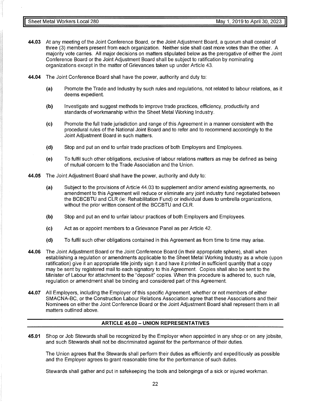- **44.03** At any meeting of the Joint Conference Board, or the Joint Adjustment Board, a quorum shall consist of three (3) members present from each organization. Neither side shall cast more votes than the other. A majority vote carries. All major decisions on matters stipulated below as the prerogative of either the Joint Conference Board or the Joint Adjustment Board shall be subject to ratification by nominating organizations except in the matter of Grievances taken up under Article 43.
- **44.04** The Joint Conference Board shall have the power, authority and duty to:
	- (a) Promote the Trade and Industry by such rules and regulations, not related to labour relations, as it deems expedient.
	- **(b)** Investigate and suggest methods to improve trade practices, efficiency, productivity and standards of workmanship within the Sheet Metal Working Industry.
	- (c) Promote the full trade jurisdiction and range of this Agreement in a manner consistent with the procedural rules of the National Joint Board and to refer and to recommend accordingly to the Joint Adjustment Board in such matters.
	- **(d)** Stop and put an end to unfair trade practices of both Employers and Employees.
	- (e) To fulfil such other obligations, exclusive of labour relations matters as may be defined as being of mutual concern to the Trade Association and the Union.
- **44.05** The Joint Adjustment Board shall have the power, authority and duty to:
	- (a) Subject to the provisions of Article 44.03 to supplement and/or amend existing agreements, no amendment to this Agreement will reduce or eliminate any joint industry fund negotiated between the BCBCBTU and CLR (ie: Rehabilitation Fund) or individual dues to umbrella organizations, without the prior written consent of the BCCBTU and CLR.
	- **(b)** Stop and put an end to unfair labour practices of both Employers and Employees.
	- (c) Act as or appoint members to a Grievance Panel as per Article 42.
	- **(d)** To fulfil such other obligations contained in this Agreement as from time to time may arise.
- **44.06** The Joint Adjustment Board or the Joint Conference Board (in their appropriate sphere), shall when establishing a regulation or amendments applicable to the Sheet Metal Working Industry as a whole (upon ratification) give it an appropriate title jointly sign it and have it printed in sufficient quantity that a copy may be sent by registered mail to each signatory to this Agreement. Copies shall also be sent to the Minister of Labour for attachment to the "deposit" copies. When this procedure is adhered to, such rule, regulation or amendment shall be binding and considered part of this Agreement.
- **44.07** All Employers, including the Employer of this specific Agreement, whether or not members of either SMACNA-BC, or the Construction Labour Relations Association agree that these Associations and their Nominees on either the Joint Conference Board or the Joint Adjustment Board shall represent them in all matters outlined above.

#### **ARTICLE 45.00- UNION REPRESENTATIVES**

**45.01** Shop or Job Stewards shall be recognized by the Employer when appointed in any shop or on any jobsite, and such Stewards shall not be discriminated against for the performance of their duties.

The Union agrees that the Stewards shall perform their duties as efficiently and expeditiously as possible and the Employer agrees to grant reasonable time for the performance of such duties.

Stewards shall gather and put in safekeeping the tools and belongings of a sick or injured workman.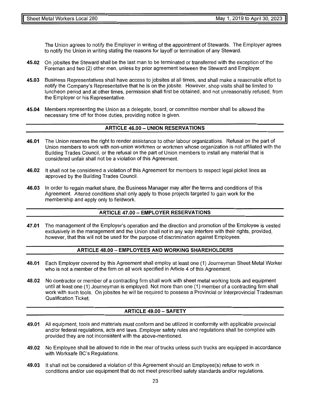The Union agrees to notify the Employer in writing of the appointment of Stewards. The Employer agrees to notify the Union in writing stating the reasons for layoff or termination of any Steward.

- **45.02** On jobsites the Steward shall be the last man to be terminated or transferred with the exception of the Foreman and two (2) other men, unless by prior agreement between the Steward and Employer.
- **45.03** Business Representatives shall have access to jobsites at all times, and shall make a reasonable effort to notify the Company's Representative that he is on the jobsite. However, shop visits shall be limited to luncheon period and at other times, permission shall first be obtained, and not unreasonably refused, from the Employer or his Representative.
- **45.04** Members representing the Union as a delegate, board, or committee member shall be allowed the necessary time off for those duties, providing notice is given.

#### **ARTICLE 46.00- UNION RESERVATIONS**

- **46.01** The Union reserves the right to render assistance to other labour organizations. Refusal on the part of Union members to work with non-union workmen or workmen whose organization is not affiliated with the Building Trades Council, or the refusal on the part of Union members to install any material that is considered unfair shall not be a violation of this Agreement.
- **46.02** It shall not be considered a violation of this Agreement for members to respect legal picket lines as approved by the Building Trades Council.
- **46.03** In order to regain market share, the Business Manager may alter the terms and conditions of this Agreement. Altered conditions shall only apply to those projects targeted to gain work for the membership and apply only to fieldwork.

#### **ARTICLE 47.00- EMPLOYER RESERVATIONS**

**47.01** The management of the Employer's operation and the direction and promotion of the Employee is vested exclusively in the management and the Union shall not in any way interfere with their rights, provided, however, that this will not be used for the purpose of discrimination against Employees.

#### **ARTICLE 48.00 - EMPLOYEES AND WORKING SHAREHOLDERS**

- **48.01** Each Employer covered by this Agreement shall employ at least one (1) Journeyman Sheet Metal Worker who is not a member of the firm on all work specified in Article 4 of this Agreement.
- **48.02** No contractor or member of a contracting firm shall work with sheet metal working tools and equipment until at least one (1) Journeyman is employed. Not more than one (1) member of a contracting firm shall work with such tools. On jobsites he will be required to possess a Provincial or lnterprovincial Tradesman Qualification Ticket.

#### **ARTICLE 49.00 - SAFETY**

- **49.01** All equipment, tools and materials must conform and be utilized in conformity with applicable provincial and/or federal regulations, acts and laws. Employer safety rules and regulations shall be complied with provided they are not inconsistent with the above-mentioned.
- **49.02** No Employee shall be allowed to ride in the rear of trucks unless such trucks are equipped in accordance with Worksafe BC's Regulations.
- **49.03** It shall not be considered a violation of this Agreement should an Employee(s) refuse to work in conditions and/or use equipment that do not meet prescribed safety standards and/or regulations.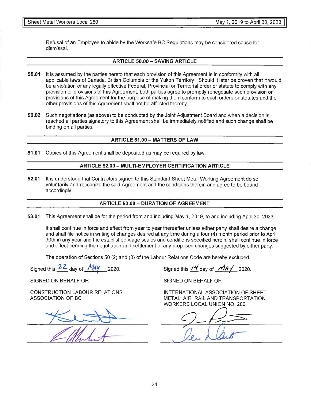Refusal of an Employee to abide by the Worksafe BC Regulations may be considered cause for dismissal.

#### **ARTICLE 50.00 - SAVING ARTICLE**

- **50.01** It is assumed by the parties hereto that each provision of this Agreement is in conformity with all applicable laws of Canada, British Columbia or the Yukon Territory. Should it later be proven that it would be a violation of any legally effective Federal, Provincial or Territorial order or statute to comply with any provision or provisions of this Agreement, both parties agree to promptly renegotiate such provision or provisions of this Agreement for the purpose of making them conform to such orders or statutes and the other provisions of this Agreement shall not be affected thereby.
- **50.02** Such negotiations (as above) to be conducted by the Joint Adjustment Board and when a decision is reached all parties signatory to this Agreement shall be immediately notified and such change shall be binding on all parties.

#### **ARTICLE 51.00- MATTERS OF LAW**

**51.01** Copies of this Agreement shall be deposited as may be required by law.

#### **ARTICLE 52.00 - MUL Tl-EMPLOYER CERTIFICATION ARTICLE**

**52.01** It is understood that Contractors signed to this Standard Sheet Metal Working Agreement do so voluntarily and recognize the said Agreement and the conditions therein and agree to be bound accordingly.

#### **ARTICLE 53.00- DURATION OF AGREEMENT**

**53.01** This Agreement shall be for the period from and including May 1, 2019, to and including April 30, 2023.

It shall continue in force and effect from year to year thereafter unless either party shall desire a change and shall file notice in writing of changes desired at any time during a four (4) month period prior to April 30th in any year and the established wage scales and conditions specified herein, shall continue in force and effect pending the negotiation and settlement of any proposed changes suggested by either party.

The operation of Sections 50 (2) and (3) of the Labour Relations Code are hereby excluded.

Signed this  $22$  day of  $\frac{My}{AY}$ , 2020. Signed this  $\frac{14}{Y}$  day of  $\frac{May}{AY}$ , 2020.

SIGNED ON BEHALF OF:

CONSTRUCTION LABOUR RELATIONS ASSOCIATION OF BC

SIGNED ON BEHALF OF:

INTERNATIONAL ASSOCIATION OF SHEET METAL, AIR, RAIL AND TRANSPORTATION WORKERS LOCAL UNION NO. 280

 $9-17$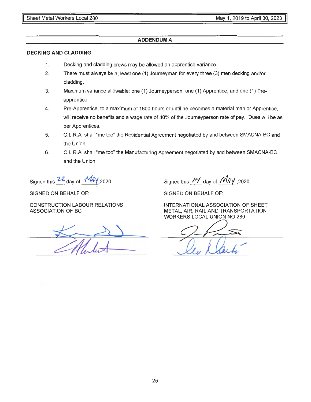#### **ADDENDUM A**

#### **DECKING AND CLADDING**

- 1. Decking and cladding crews may be allowed an apprentice variance.
- 2. There must always be at least one (1) Journeyman for every three (3) men decking and/or cladding.
- 3. Maximum variance allowable: one (1) Journeyperson, one (1) Apprentice, and one (1) Preapprentice.
- 4. Pre-Apprentice, to a maximum of 1600 hours or until he becomes a material man or Apprentice, will receive no benefits and a wage rate of 40% of the Journeyperson rate of pay. Dues will be as per Apprentices.
- 5. C.L.R.A. shall "me too" the Residential Agreement negotiated by and between SMACNA-BC and the Union.
- 6. C.L.R.A. shall "me too" the Manufacturing Agreement negotiated by and between SMACNA-BC and the Union.

Signed this 22 day of  $-M4y$  2020.

SIGNED ON BEHALF OF:

Signed this  $\frac{14}{1}$  day of  $\frac{14}{1}$ ,2020.

SIGNED ON BEHALF OF:

CONSTRUCTION LABOUR RELATIONS ASSOCIATION OF BC

INTERNATIONAL ASSOCIATION OF SHEET METAL, AIR, RAIL AND TRANSPORTATION WORKERS LOCAL UNION NO 280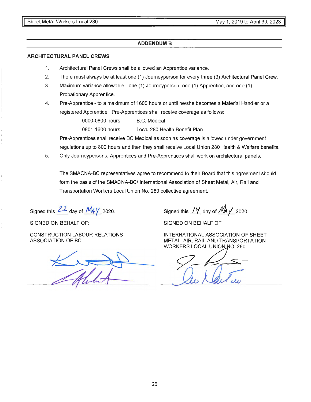#### **ADDENDUM B**

#### **ARCHITECTURAL PANEL CREWS**

- 1. Architectural Panel Crews shall be allowed an Apprentice variance.
- 2. There must always be at least one (1) Journeyperson for every three (3) Architectural Panel Crew.
- 3. Maximum variance allowable one (1) Journeyperson, one (1) Apprentice, and one (1) Probationary Apprentice.
- 4. Pre-Apprentice to a maximum of 1600 hours or until he/she becomes a Material Handler or a registered Apprentice. Pre-Apprentices shall receive coverage as follows:

0000-0800 hours B.C. Medical

0801-1600 hours Local 280 Health Benefit Plan

Pre-Apprentices shall receive BC Medical as soon as coverage is allowed under government regulations up to 800 hours and then they shall receive Local Union 280 Health & Welfare benefits.

5. Only Journeypersons, Apprentices and Pre-Apprentices shall work on architectural panels.

The SMACNA-BC representatives agree to recommend to their Board that this agreement should form the basis of the SMACNA-BC/ International Association of Sheet Metal, Air, Rail and Transportation Workers Local Union No. 280 collective agreement.

Signed this  $\frac{ZZ}{2}$  day of  $\frac{M_4Y}{2020}$ .

SIGNED ON BEHALF OF:

CONSTRUCTION LABOUR RELATIONS ASSOCIATION OF BC

Signed this  $14'$  day of  $M_4$  / 2020.

SIGNED ON BEHALF OF:

INTERNATIONAL ASSOCIATION OF SHEET METAL, AIR, RAIL AND TRANSPORTATION WORKERS LOCAL UNION NO. 280

le Klarten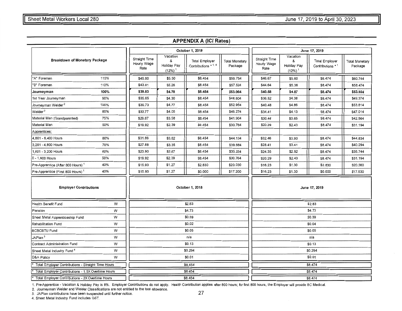#### **APPENDIX A (ICI Rates)**

|                                                    |      |                                      |                                                             | October 1, 2018                                 |                           | June 17, 2019                        |                                                      |                                            |                                  |
|----------------------------------------------------|------|--------------------------------------|-------------------------------------------------------------|-------------------------------------------------|---------------------------|--------------------------------------|------------------------------------------------------|--------------------------------------------|----------------------------------|
| Breakdown of Monetary Package                      |      | Straight Time<br>Hourly Wage<br>Rate | Vacation<br>&<br><b>Holiday Pay</b><br>$(12%)$ <sup>1</sup> | <b>Total Employer</b><br>Contributions $*$ 1, 4 | Total Monetary<br>Package | Straight Time<br>Hourly Wage<br>Rate | Vacation<br>&<br>Holiday Pay<br>$(12%)$ <sup>1</sup> | <b>Total Employer</b><br>Contributions * 1 | <b>Total Monetary</b><br>Package |
| "A" Foreman                                        | 115% | \$45.80                              | \$5.50                                                      | \$8.454                                         | \$59.754                  | \$46.67                              | \$5.60                                               | \$8.474                                    | \$60.744                         |
| "B" Foreman                                        | 110% | \$43.81                              | \$5.26                                                      | \$8.454                                         | \$57.524                  | \$44.64                              | \$5.36                                               | \$8.474                                    | \$58.474                         |
| Journeyman                                         | 100% | \$39.83                              | \$4.78                                                      | \$8.454                                         | \$53.064                  | \$40.58                              | \$4.87                                               | \$8.474                                    | \$53.924                         |
| 1st Year Joumeyman                                 | 90%  | \$35.85                              | \$4.30                                                      | \$8.454                                         | \$48.604                  | \$36.52                              | \$4.38                                               | \$8.474                                    | \$49.374                         |
| Journeyman Welder <sup>2</sup>                     | 100% | \$39.73                              | \$4.77                                                      | \$8.454                                         | \$52.954                  | \$40.48                              | \$4.86                                               | \$8.474                                    | \$53.814                         |
| Welder <sup>2</sup>                                | 85%  | \$33.77                              | \$4.05                                                      | \$8.454                                         | \$46.274                  | \$34.41                              | \$4.13                                               | \$8,474                                    | \$47.014                         |
| Material Man (Grandparented)                       | 75%  | \$29.87                              | \$3.58                                                      | \$8.454                                         | \$41.904                  | \$30.44                              | \$3.65                                               | \$8.474                                    | \$42.564                         |
| Material Man                                       | 50%  | \$19.92                              | \$2.39                                                      | \$8.454                                         | \$30.764                  | \$20.29                              | \$2.43                                               | \$8.474                                    | \$31.194                         |
| Apprentices:                                       |      |                                      |                                                             |                                                 |                           |                                      |                                                      |                                            |                                  |
| 4,801 - 6,400 Hours                                | 80%  | \$31.86                              | \$3.82                                                      | \$8.454                                         | \$44.134                  | \$32.46                              | \$3.90                                               | \$8.474                                    | \$44.834                         |
| 3,201 - 4,800 Hours                                | 70%  | \$27.88                              | \$3.35                                                      | \$8.454                                         | \$39.684                  | \$28.41                              | \$3.41                                               | \$8.474                                    | \$40.294                         |
| 1,601 - 3,200 Hours                                | 60%  | \$23.90                              | \$2.87                                                      | \$8.454                                         | \$35.224                  | \$24.35                              | \$2.92                                               | \$8.474                                    | \$35.744                         |
| 0 - 1,600 Hours                                    | 50%  | \$19.92                              | \$2.39                                                      | \$8.454                                         | \$30.764                  | \$20.29                              | \$2.43                                               | \$8.474                                    | \$31.194                         |
| Pre-Apprentice (After 800 Hours) <sup>1</sup>      | 40%  | \$15.93                              | \$1.27                                                      | \$2.830                                         | \$20.030                  | \$16.23                              | \$1.30                                               | \$2.830                                    | \$20.360                         |
| Pre-Apprentice (First 800 Hours) <sup>1</sup>      | 40%  | \$15.93                              | \$1.27                                                      | \$0.000                                         | \$17.200                  | \$16.23                              | \$1.30                                               | \$0.000                                    | \$17.530                         |
| <b>Employer Contributions</b>                      |      |                                      |                                                             | October 1, 2018                                 |                           |                                      |                                                      | June 17, 2019                              |                                  |
| <b>Health Benefit Fund</b>                         | W    |                                      |                                                             | \$2.83                                          |                           |                                      |                                                      | \$2.83                                     |                                  |
| Pension                                            | W    |                                      |                                                             | \$4.73                                          |                           |                                      |                                                      | \$4.73                                     |                                  |
| Sheet Metal Apprenticeship Fund                    | W    |                                      |                                                             | \$0.39                                          |                           |                                      |                                                      | \$0.39                                     |                                  |
| Rehabilitation Fund                                | W    |                                      |                                                             | \$0.02                                          |                           |                                      |                                                      | \$0.04                                     |                                  |
| <b>BCBCBTU Fund</b>                                | W    |                                      |                                                             | \$0.05                                          |                           |                                      |                                                      | \$0.05                                     |                                  |
| JAPlan <sup>3</sup>                                | W    |                                      |                                                             | n/a                                             |                           |                                      |                                                      | n/a                                        |                                  |
| <b>Contract Administration Fund</b>                | W    |                                      |                                                             | \$0.13                                          |                           |                                      |                                                      | \$0.13                                     |                                  |
| Sheet Metal Industry Fund <sup>4</sup>             | W    |                                      |                                                             | \$0.294                                         |                           |                                      |                                                      | \$0.294                                    |                                  |
| D&A Policy                                         | W    |                                      | \$0.01                                                      |                                                 |                           |                                      |                                                      | \$0.01                                     |                                  |
| Total Employer Contributions - Straight Time Hours |      |                                      |                                                             | \$8.454                                         |                           | \$8,474                              |                                                      |                                            |                                  |
| Total Employer Contributions - 1.5X Overtime Hours |      |                                      |                                                             | \$8.454                                         |                           |                                      |                                                      | \$8.474                                    |                                  |
| Total Employer Contributions - 2X Overtime Hours   |      |                                      |                                                             | \$8.454                                         |                           |                                      |                                                      | \$8.474                                    |                                  |

1. Pre-Apprentice - Vacation & Holiday Pay is 8%. Employer Contributions do not apply. Health Contribution applies after 800 hours; for first 800 hours, the Employer will provide BC Medical.

2. Journeyman Welder and Welder Classifications are not entitled to the tool allowance.

2. JAPlan contributions have been suspended until further notice. **27 27 27** 

4. Sheet Metal Industry Fund includes GST.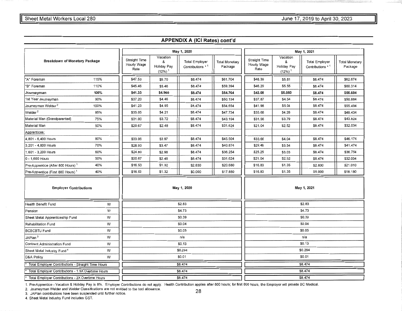#### Interval Workers Local 280 **Sheet Metal Workers Local 280** June 17, 2019 to April 30, 2023

#### **APPENDIX A (ICI Rates) cont'd**

|                                                    |      |                                      |                                                      | May 1, 2020                                |                                  | May 1, 2021                          |                                       |                                            |                                  |
|----------------------------------------------------|------|--------------------------------------|------------------------------------------------------|--------------------------------------------|----------------------------------|--------------------------------------|---------------------------------------|--------------------------------------------|----------------------------------|
| <b>Breakdown of Monetary Package</b>               |      | Straight Time<br>Hourly Wage<br>Rate | Vacation<br>&<br>Holiday Pay<br>$(12%)$ <sup>1</sup> | <b>Total Employer</b><br>Contributions * 1 | <b>Total Monetary</b><br>Package | Straight Time<br>Hourly Wage<br>Rate | Vacation<br>&<br>Holiday Pay<br>(12%) | <b>Total Employer</b><br>Contributions * 1 | <b>Total Monetary</b><br>Package |
| "A" Foreman                                        | 115% | \$47.53                              | \$5.70                                               | \$8.474                                    | \$61.704                         | \$48.39                              | \$5.81                                | \$8.474                                    | \$62.674                         |
| "B" Foreman                                        | 110% | \$45.46                              | \$5.46                                               | \$8.474                                    | \$59,394                         | \$46.29                              | \$5.55                                | \$8.474                                    | \$60,314                         |
| Journeyman                                         | 100% | \$41.33                              | \$4.960                                              | \$8.474                                    | \$54.764                         | \$42.08                              | \$5.050                               | \$8.474                                    | \$55.604                         |
| 1st Year Journeyman                                | 90%  | \$37.20                              | \$4.46                                               | \$8.474                                    | \$50.134                         | \$37.87                              | \$4.54                                | \$8.474                                    | \$50.884                         |
| Journeyman Welder <sup>2</sup>                     | 100% | \$41.23                              | \$4.95                                               | \$8.474                                    | \$54.654                         | \$41.98                              | \$5.04                                | \$8.474                                    | \$55.494                         |
| Welder $^2$                                        | 85%  | \$35.05                              | \$4.21                                               | \$8.474                                    | \$47.734                         | \$35.68                              | \$4.28                                | \$8.474                                    | \$48.434                         |
| Material Man (Grandparented)                       | 75%  | \$31.00                              | \$3.72                                               | \$8.474                                    | \$43.194                         | \$31.56                              | \$3.79                                | \$8.474                                    | \$43.824                         |
| Material Man                                       | 50%  | \$20.67                              | \$2.48                                               | \$8.474                                    | \$31.624                         | \$21.04                              | \$2.52                                | \$8.474                                    | \$32.034                         |
| Apprentices:                                       |      |                                      |                                                      |                                            |                                  |                                      |                                       |                                            |                                  |
| 4,801 - 6,400 Hours                                | 80%  | \$33.06                              | \$3.97                                               | \$8.474                                    | \$45.504                         | \$33.66                              | \$4.04                                | \$8.474                                    | \$46.174                         |
| 3,201 - 4,800 Hours                                | 70%  | \$28.93                              | \$3.47                                               | \$8.474                                    | \$40.874                         | \$29.46                              | \$3.54                                | \$8.474                                    | \$41.474                         |
| 1,601 - 3,200 Hours                                | 60%  | \$24.80                              | \$2.98                                               | \$8.474                                    | \$36.254                         | \$25.25                              | \$3.03                                | \$8.474                                    | \$36.754                         |
| 0 - 1,600 Hours                                    | 50%  | \$20.67                              | \$2.48                                               | \$8.474                                    | \$31.624                         | \$21.04                              | \$2.52                                | \$8.474                                    | \$32.034                         |
| Pre-Apprentice (After 800 Hours) <sup>1</sup>      | 40%  | \$16.53                              | \$1.32                                               | \$2.830                                    | \$20.680                         | \$16.83                              | \$1.35                                | \$2,830                                    | \$21.010                         |
| Pre-Apprentice (First 800 Hours) <sup>1</sup>      | 40%  | \$16.53                              | \$1.32                                               | \$0.000                                    | \$17.850                         | \$16.83                              | \$1.35                                | \$0,000                                    | \$18.180                         |
| <b>Employer Contributions</b>                      |      |                                      |                                                      | May 1, 2020                                |                                  | May 1, 2021                          |                                       |                                            |                                  |
| Health Benefit Fund                                | W    |                                      |                                                      | \$2.83                                     |                                  |                                      |                                       | \$2.83                                     |                                  |
| Pension                                            | W    |                                      |                                                      | \$4.73                                     |                                  |                                      |                                       | \$4.73                                     |                                  |
| Sheet Metal Apprenticeship Fund                    | W    |                                      |                                                      | \$0.39                                     |                                  |                                      |                                       | \$0.39                                     |                                  |
| Rehabilitation Fund                                | W    |                                      |                                                      | \$0.04                                     |                                  |                                      |                                       | \$0.04                                     |                                  |
| <b>BCBCBTU Fund</b>                                | W    |                                      |                                                      | \$0.05                                     |                                  |                                      |                                       | \$0.05                                     |                                  |
| JAPlan <sup>3</sup>                                | W    |                                      |                                                      | n/a                                        |                                  |                                      |                                       | n/a                                        |                                  |
| <b>Contract Administration Fund</b>                | W    |                                      |                                                      | \$0.13                                     |                                  |                                      |                                       | \$0.13                                     |                                  |
| Sheet Metal Industry Fund <sup>4</sup>             | W    |                                      | \$0.294                                              |                                            |                                  |                                      |                                       | \$0.294                                    |                                  |
| D&A Policy                                         | W    |                                      | \$0.01                                               |                                            |                                  |                                      |                                       | \$0.01                                     |                                  |
| Total Employer Contributions - Straight Time Hours |      |                                      |                                                      | \$8.474                                    |                                  | \$8.474                              |                                       |                                            |                                  |
| Total Employer Contributions - 1.5X Overtime Hours |      |                                      |                                                      | \$8.474                                    |                                  |                                      |                                       | \$8.474                                    |                                  |
| Total Employer Contributions - 2X Overtime Hours   |      |                                      |                                                      | \$8.474                                    |                                  |                                      |                                       | \$8.474                                    |                                  |

1. Pre-Apprentice - Vacation & Holiday Pay is 8%. Employer Contributions do not apply. Health Contribution applies after 800 hours; for first 800 hours, the Employer will provide BC Medical.

2. Journeyman Welder and Welder Classifications are not entitled to the tool allowance. 2. Journeyman Welder and Welder Classifications are not entitled to the tool allowance.<br>3. JAPlan contributions have been suspended until further notice.

4. Sheet Metal Industry Fund includes GST.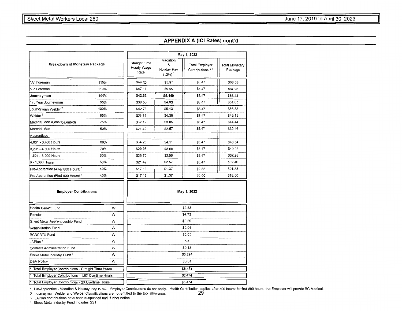#### **APPENDIX A (ICI Rates) cont'd**

|                                                    |      | May 1, 2022                          |                                                       |                                            |                                  |  |  |  |
|----------------------------------------------------|------|--------------------------------------|-------------------------------------------------------|--------------------------------------------|----------------------------------|--|--|--|
| <b>Breakdown of Monetary Package</b>               |      | Straight Time<br>Hourly Wage<br>Rate | Vacation<br>&<br>Holiday Pay<br>$(12\%)$ <sup>1</sup> | <b>Total Employer</b><br>Contributions * 1 | <b>Total Monetary</b><br>Package |  |  |  |
| "A" Foreman                                        | 115% | \$49.25                              | \$5.91                                                | \$8.47                                     | \$63.63                          |  |  |  |
| "B" Foreman                                        | 110% | \$47.11                              | \$5.65                                                | \$8.47                                     | \$61.23                          |  |  |  |
| Journeyman                                         | 100% | \$42.83                              | \$5.140                                               | \$8.47                                     | \$56.44                          |  |  |  |
| 1st Year Journeyman                                | 90%  | \$38.55                              | \$4.63                                                | \$8.47                                     | \$51.65                          |  |  |  |
| Journeyman Welder <sup>2</sup>                     | 100% | \$42.73                              | \$5.13                                                | \$8.47                                     | \$56.33                          |  |  |  |
| Welder <sup>2</sup>                                | 85%  | \$36.32                              | \$4.36                                                | \$8.47                                     | \$49.15                          |  |  |  |
| Material Man (Grandparented)                       | 75%  | \$32.12                              | \$3.85                                                | \$8.47                                     | \$44.44                          |  |  |  |
| Material Man                                       | 50%  | \$21.42                              | \$2.57                                                | \$8.47                                     | \$32.46                          |  |  |  |
| Apprentices:                                       |      |                                      |                                                       |                                            |                                  |  |  |  |
| 4,801 - 6,400 Hours                                | 80%  | \$34.26                              | \$4.11                                                | \$8.47                                     | \$46.84                          |  |  |  |
| 3,201 - 4,800 Hours                                | 70%  | \$29.98                              | \$3.60                                                | \$8.47                                     | \$42.05                          |  |  |  |
| 1,601 - 3,200 Hours                                | 60%  | \$25.70                              | \$3.08                                                | \$8.47                                     | \$37.25                          |  |  |  |
| 0 - 1,600 Hours                                    | 50%  | \$21.42                              | \$2.57                                                | \$8.47                                     | \$32.46                          |  |  |  |
| Pre-Apprentice (After 800 Hours) <sup>1</sup>      | 40%  | \$17.13                              | \$1.37                                                | \$2.83                                     | \$21.33                          |  |  |  |
| Pre-Apprentice (First 800 Hours) <sup>1</sup>      | 40%  | \$17.13                              | \$1.37                                                | \$0.00                                     | \$18.50                          |  |  |  |
| <b>Employer Contributions</b>                      |      |                                      |                                                       | May 1, 2022                                |                                  |  |  |  |
| <b>Health Benefit Fund</b>                         | W    |                                      |                                                       | \$2.83                                     |                                  |  |  |  |
| Pension                                            | W    |                                      |                                                       | \$4.73                                     |                                  |  |  |  |
| Sheet Metal Apprenticeship Fund                    | W    |                                      |                                                       | \$0.39                                     |                                  |  |  |  |
| Rehabilitation Fund                                | W    |                                      |                                                       | \$0.04                                     |                                  |  |  |  |
| <b>BCBCBTU Fund</b>                                | W    |                                      |                                                       | \$0.05                                     |                                  |  |  |  |
| JAPlan <sup>3</sup>                                | W    |                                      |                                                       | n/a                                        |                                  |  |  |  |
| <b>Contract Administration Fund</b>                | W    |                                      | \$0.13                                                |                                            |                                  |  |  |  |
| Sheet Metal Industry Fund <sup>4</sup>             | W    |                                      |                                                       | \$0.294                                    |                                  |  |  |  |
| D&A Policy                                         | w    |                                      |                                                       | \$0.01                                     |                                  |  |  |  |
| Total Employer Contributions - Straight Time Hours |      |                                      | \$8.474                                               |                                            |                                  |  |  |  |
| Total Employer Contributions - 1.5X Overtime Hours |      |                                      |                                                       | \$8.474                                    |                                  |  |  |  |
| Total Employer Contributions - 2X Overtime Hours   |      |                                      |                                                       | \$8.474                                    |                                  |  |  |  |

1. Pre-Apprentice - Vacation & Holiday Pay is 8%. Employer Contributions do not apply. Health Contribution applies after 800 hours; for first 800 hours, the Employer will provide BC Medical.<br>2. Journeyman Welder and Welde

3. JAPlan contributions have been suspended until further notice.

4. Sheet Metal Industry Fund includes GST.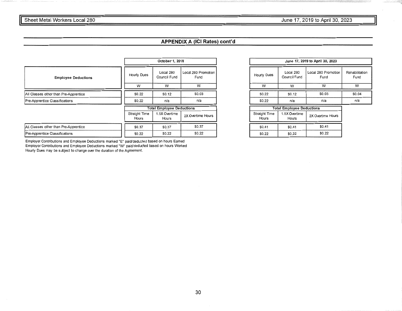### **FIGURE 2019 IS APPENDIX CONTRACT SHEET AND RESPONSE ASSESSINGLY AND RESPONSE A LIGHTER 2019 to April 30, 2023**

#### **APPENDIX A (ICI Rates) cont'd**

|                                       |  | October 1, 2018        |                                  |                             |  |  |
|---------------------------------------|--|------------------------|----------------------------------|-----------------------------|--|--|
| <b>Employee Deductions</b>            |  |                        | Local 280<br>Council Fund        | Local 280 Promotion<br>Fund |  |  |
|                                       |  | W                      | W                                | W                           |  |  |
| All Classes other than Pre-Apprentice |  | \$0.22                 | \$0.12                           | \$0.03                      |  |  |
| Pre-Apprentice Classifications        |  | \$0.22                 | n/a                              | n/a                         |  |  |
|                                       |  |                        | <b>Total Employee Deductions</b> |                             |  |  |
|                                       |  | Straight Time<br>Hours | 1.5X Overtime<br>Hours           | 2X Overtime Hours           |  |  |
| All Classes other than Pre-Apprentice |  | \$0.37                 | \$0.37                           | \$0.37                      |  |  |
| Pre-Apprentice Classifications        |  | \$0.22                 | \$0.22                           | \$0.22                      |  |  |

Employer Contributions and Employee Deductions marked "E" paid/deducted based on hours Earned Employer Contributions and Employee Deductions marked "W' paid/deducted based on hours Worked Hourly Dues may be subject to change owr the duration of the Agreement.

| June 17, 2019 to April 30, 2023  |                           |                             |                        |  |  |  |  |  |
|----------------------------------|---------------------------|-----------------------------|------------------------|--|--|--|--|--|
| Hourly Dues                      | Local 280<br>Council Fund | Local 280 Promotion<br>Fund | Rehabilitation<br>Fund |  |  |  |  |  |
| w                                | w                         | w                           | w                      |  |  |  |  |  |
| \$0.22                           | \$0.12                    | \$0.03                      | \$0.04                 |  |  |  |  |  |
| \$0.22<br>n/a                    |                           | n/a                         | n/a                    |  |  |  |  |  |
| <b>Total Employee Deductions</b> |                           |                             |                        |  |  |  |  |  |

| Straight Time<br>Hours | 1.5X Overtime<br>Hours | 2X Overtime Hours |  |  |  |
|------------------------|------------------------|-------------------|--|--|--|
| \$0.41                 | \$0.41                 | \$0.41            |  |  |  |
| \$0.22                 | \$0.22                 | \$0.22            |  |  |  |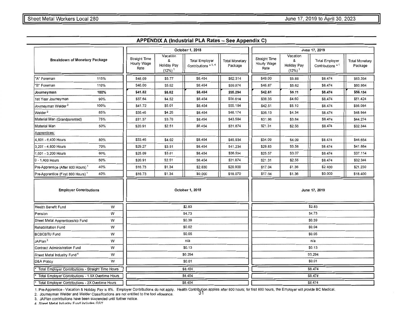|                                                    |      |                                      |                                                      | October 1, 2018                               |                                  |                                      | June 17, 2019                                |                                           |                                  |  |
|----------------------------------------------------|------|--------------------------------------|------------------------------------------------------|-----------------------------------------------|----------------------------------|--------------------------------------|----------------------------------------------|-------------------------------------------|----------------------------------|--|
| Breakdown of Monetary Package                      |      | Straight Time<br>Hourly Wage<br>Rate | Vacation<br>&<br>Holiday Pay<br>$(12%)$ <sup>1</sup> | <b>Total Employer</b><br>Contributions * 1, 4 | <b>Total Monetary</b><br>Package | Straight Time<br>Hourly Wage<br>Rate | Vacation<br>&<br><b>Holiday Pay</b><br>(12%) | <b>Total Employer</b><br>Contributions *1 | <b>Total Monetary</b><br>Package |  |
| "A" Foreman                                        | 115% | \$48.09                              | \$5.77                                               | \$8.454                                       | \$62.314                         | \$49.00                              | \$5.88                                       | \$8.474                                   | \$63,354                         |  |
| 'B" Foreman                                        | 110% | \$46.00                              | \$5.52                                               | \$8.454                                       | \$59.974                         | \$46.87                              | \$5.62                                       | \$8.474                                   | \$60.964                         |  |
| Journeyman                                         | 100% | \$41.82                              | \$5.02                                               | \$8.454                                       | \$55.294                         | \$42.61                              | \$5.11                                       | \$8.474                                   | \$56.194                         |  |
| 1st Year Journeyman                                | 90%  | \$37.64                              | \$4.52                                               | \$8.454                                       | \$50.614                         | \$38.35                              | \$4.60                                       | \$8,474                                   | \$51.424                         |  |
| Journeyman Welder <sup>2</sup>                     | 100% | \$41.72                              | \$5.01                                               | \$8.454                                       | \$55,184                         | \$42.51                              | \$5.10                                       | \$8.474                                   | \$56.084                         |  |
| Welder <sup>2</sup>                                | 85%  | \$35.46                              | \$4.26                                               | \$8.454                                       | \$48.174                         | \$36.13                              | \$4.34                                       | \$8.474                                   | \$48.944                         |  |
| Material Man (Grandparented)                       | 75%  | \$31.37                              | \$3.76                                               | \$8.454                                       | \$43.584                         | \$31.96                              | \$3.84                                       | \$8.474                                   | \$44.274                         |  |
| Material Man                                       | 50%  | \$20.91                              | \$2.51                                               | \$8,454                                       | \$31.874                         | \$21.31                              | \$2.56                                       | \$8,474                                   | \$32.344                         |  |
| Apprentices:                                       |      |                                      |                                                      |                                               |                                  |                                      |                                              |                                           |                                  |  |
| 4,801 - 6,400 Hours                                | 80%  | \$33.46                              | \$4.02                                               | \$8.454                                       | \$45.934                         | \$34.09                              | \$4.09                                       | \$8.474                                   | \$46.654                         |  |
| 3,201 - 4,800 Hours                                | 70%  | \$29.27                              | \$3.51                                               | \$8.454                                       | \$41.234                         | \$29.83                              | \$3.58                                       | \$8.474                                   | \$41.884                         |  |
| 1,601 - 3,200 Hours                                | 60%  | \$25.09                              | \$3.01                                               | \$8.454                                       | \$36.554                         | \$25.57                              | \$3.07                                       | \$8.474                                   | \$37.114                         |  |
| 0 - 1,600 Hours                                    | 50%  | \$20.91                              | \$2.51                                               | \$8.454                                       | \$31.874                         | \$21.31                              | \$2.56                                       | \$8.474                                   | \$32.344                         |  |
| Pre-Apprentice (After 800 Hours) <sup>1</sup>      | 40%  | \$16.73                              | \$1.34                                               | \$2.830                                       | \$20.900                         | \$17.04                              | \$1.36                                       | \$2.830                                   | \$21.230                         |  |
| Pre-Apprentice (First 800 Hours) <sup>1</sup>      | 40%  | \$16.73                              | \$1.34                                               | \$0.000                                       | \$18.070                         | \$17.04                              | \$1.36                                       | \$0,000                                   | \$18.400                         |  |
| <b>Employer Contributions</b>                      |      |                                      |                                                      | October 1, 2018                               |                                  | June 17, 2019                        |                                              |                                           |                                  |  |
| Health Benefit Fund                                | W    |                                      |                                                      | \$2.83                                        |                                  |                                      |                                              | \$2.83                                    |                                  |  |
| Pension                                            | w    |                                      |                                                      | \$4.73                                        |                                  |                                      |                                              | \$4.73                                    |                                  |  |
| Sheet Metal Apprenticeship Fund                    | W    |                                      |                                                      | \$0.39                                        |                                  |                                      |                                              | \$0.39                                    |                                  |  |
| <b>Rehabilitation Fund</b>                         | W    |                                      |                                                      | \$0.02                                        |                                  |                                      |                                              | \$0.04                                    |                                  |  |
| <b>BCBCBTU Fund</b>                                | W    |                                      |                                                      | \$0.05                                        |                                  |                                      |                                              | \$0.05                                    |                                  |  |
| JAPlan $^3$                                        | W    |                                      |                                                      | n/a                                           |                                  |                                      |                                              | n/a                                       |                                  |  |
| Contract Administration Fund                       | w    |                                      |                                                      | \$0.13                                        |                                  |                                      |                                              | \$0.13                                    |                                  |  |
| Sheet Metal Industry Fund <sup>4</sup>             | W    |                                      |                                                      | \$0.294                                       |                                  |                                      |                                              | \$0,294                                   |                                  |  |
| D&A Policy                                         | w    |                                      |                                                      | \$0.01                                        |                                  |                                      |                                              | \$0.01                                    |                                  |  |
| Total Employer Contributions - Straight Time Hours |      |                                      |                                                      | \$8.454                                       |                                  |                                      |                                              | \$8.474                                   |                                  |  |
| Total Employer Contributions - 1.5X Overtime Hours |      |                                      |                                                      | \$8.454                                       |                                  |                                      |                                              | \$8.474                                   |                                  |  |
| Total Employer Contributions - 2X Overtime Hours   |      |                                      |                                                      | \$8.454                                       |                                  | \$8,474                              |                                              |                                           |                                  |  |

#### **APPENDIX A (Industrial PLA Rates - See Appendix C)**

1. Pre-Apprentice - Vacation & Holiday Pay is 8%. Employer Contributions do not apply. Health Contribution applies after 800 hours; for first 800 hours, the Employer will provide BC Medical.<br>2. Journeyman Welder and Welder

2. Journeyman Welder and Welder Classifications are not entitled to the tool allowance. 31

3. JAPlan contributions have been suspended until further notice.

4 Sheet Metal Industry Fund includes GST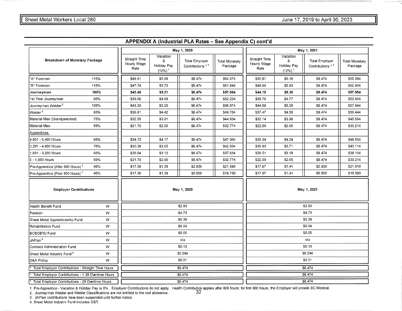|                                                    |      |                                      |                                       | May 1, 2020                                |                                  |                                      |                                                       | May 1, 2021                               |                                  |
|----------------------------------------------------|------|--------------------------------------|---------------------------------------|--------------------------------------------|----------------------------------|--------------------------------------|-------------------------------------------------------|-------------------------------------------|----------------------------------|
| Breakdown of Monetary Package                      |      | Straight Time<br>Hourly Wage<br>Rate | Vacation<br>8<br>Holiday Pay<br>(12%) | <b>Total Employer</b><br>Contributions * 1 | <b>Total Monetary</b><br>Package | Straight Time<br>Hourly Wage<br>Rate | Vacation<br>8<br>Holiday Pay<br>$(12\%)$ <sup>1</sup> | <b>Total Employer</b><br>Contributions *1 | <b>Total Monetary</b><br>Package |
| "A" Foreman                                        | 115% | \$49.91                              | \$5.99                                | \$8,474                                    | \$64,374                         | \$50.81                              | \$6.10                                                | \$8,474                                   | \$65,384                         |
| 'B" Foreman                                        | 110% | \$47.74                              | \$5.73                                | \$8.474                                    | \$61.944                         | \$48.60                              | \$5.83                                                | \$8.474                                   | \$62.904                         |
| Journeyman                                         | 100% | \$43.40                              | \$5.21                                | \$8.474                                    | \$57.084                         | \$44.18                              | \$5.30                                                | \$8.474                                   | \$57.954                         |
| 1st Year Journeyman                                | 90%  | \$39.06                              | \$4.69                                | \$8.474                                    | \$52.224                         | \$39.76                              | \$4.77                                                | \$8.474                                   | \$53.004                         |
| Journey man Welder <sup>2</sup>                    | 100% | \$43.30                              | \$5.20                                | \$8.474                                    | \$56.974                         | \$44.08                              | \$5.29                                                | \$8.474                                   | \$57.844                         |
| Welder <sup>2</sup>                                | 85%  | \$36.81                              | \$4.42                                | \$8.474                                    | \$49.704                         | \$37.47                              | \$4.50                                                | \$8,474                                   | \$50.444                         |
| Material Man (Grandparented)                       | 75%  | \$32.55                              | \$3.91                                | \$8.474                                    | \$44.934                         | \$33.14                              | \$3.98                                                | \$8.474                                   | \$45.594                         |
| Material Man                                       | 50%  | \$21.70                              | \$2.60                                | \$8.474                                    | \$32.774                         | \$22.09                              | \$2.65                                                | \$8.474                                   | \$33.214                         |
| Apprentices:                                       |      |                                      |                                       |                                            |                                  |                                      |                                                       |                                           |                                  |
| 4,801 - 6,400 Hours                                | 80%  | \$34.72                              | \$4.17                                | \$8.474                                    | \$47.364                         | \$35.34                              | \$4.24                                                | \$8.474                                   | \$48.054                         |
| 3,201 - 4,800 Hours                                | 70%  | \$30.38                              | \$3.65                                | \$8.474                                    | \$42.504                         | \$30,93                              | \$3.71                                                | \$8,474                                   | \$43.114                         |
| ,601 - 3,200 Hours                                 | 60%  | \$26.04                              | \$3.12                                | \$8.474                                    | \$37,634                         | \$26.51                              | \$3.18                                                | \$8.474                                   | \$38.164                         |
| 0 - 1,600 Hours                                    | 50%  | \$21.70                              | \$2.60                                | \$8.474                                    | \$32.774                         | \$22.09                              | \$2.65                                                | \$8.474                                   | \$33.214                         |
| Pre-Apprentice (After 800 Hours) <sup>1</sup>      | 40%  | \$17.36                              | \$1.39                                | \$2.830                                    | \$21.580                         | \$17.67                              | \$1.41                                                | \$2.830                                   | \$21.910                         |
| Pre-Apprentice (First 800 Hours) <sup>1</sup>      | 40%  | \$17.36                              | \$1.39                                | \$0.000                                    | \$18.750                         | \$17.67                              | \$1.41                                                | \$0.000                                   | \$19.080                         |
| <b>Employer Contributions</b>                      |      |                                      |                                       | May 1, 2020                                |                                  |                                      |                                                       | May 1, 2021                               |                                  |
| Health Benefit Fund                                | W    |                                      |                                       | \$2.83                                     |                                  |                                      |                                                       | \$2.83                                    |                                  |
| Pension                                            | W    |                                      |                                       | \$4.73                                     |                                  |                                      |                                                       | \$4.73                                    |                                  |
| Sheet Metal Apprenticeship Fund                    | W    |                                      |                                       | \$0.39                                     |                                  |                                      |                                                       | \$0.39                                    |                                  |
| <b>Rehabilitation Fund</b>                         | W    |                                      |                                       | \$0.04                                     |                                  |                                      |                                                       | \$0.04                                    |                                  |
| <b>BCBCBTU Fund</b>                                | W    |                                      |                                       | \$0.05                                     |                                  |                                      |                                                       | \$0.05                                    |                                  |
| JAPlan <sup>3</sup>                                | W    |                                      |                                       | n/a                                        |                                  |                                      |                                                       | n/a                                       |                                  |
| Contract Administration Fund                       | W    |                                      |                                       | \$0.13                                     |                                  |                                      |                                                       | \$0.13                                    |                                  |
| Sheet Metal Industry Fund <sup>4</sup>             | W    |                                      |                                       | \$0.294                                    |                                  |                                      |                                                       | \$0.294                                   |                                  |
| D&A Policy                                         | w    |                                      |                                       | \$0.01                                     |                                  |                                      |                                                       | \$0.01                                    |                                  |
| Total Employer Contributions - Straight Time Hours |      |                                      |                                       | \$8.474                                    |                                  |                                      |                                                       | \$8.474                                   |                                  |
| Total Employer Contributions - 1.5X Overtime Hours |      |                                      |                                       | \$8.474                                    |                                  |                                      |                                                       | \$8.474                                   |                                  |
| Total Employer Contributions - 2X Overtime Hours   |      |                                      |                                       | \$8.474                                    |                                  |                                      |                                                       | \$8.474                                   |                                  |

**APPENDIX A (Industrial PLA Rates - See Appendix C) cont'd** 

1. Pre-Apprentice - Vacation & Holiday Pay is 8%. Employer Contributions do not apply. Health Contribution applies after 800 hours; for first 800 hours, the Employer will provide BC Medical.<br>2. Journeyman Welder and Wel

3. JAPlan contributions have been suspended until further notice.

4. Sheet Metal lndustrv Fund includes GST.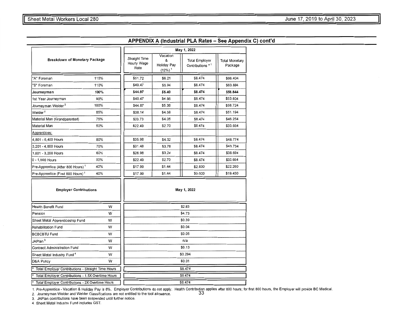|                                                    |      | May 1, 2022                          |                                                      |                                            |                                  |  |  |
|----------------------------------------------------|------|--------------------------------------|------------------------------------------------------|--------------------------------------------|----------------------------------|--|--|
| Breakdown of Monetary Package                      |      | Straight Time<br>Hourly Wage<br>Rate | Vacation<br>&<br>Holiday Pay<br>$(12%)$ <sup>1</sup> | <b>Total Employer</b><br>Contributions * 1 | <b>Total Monetary</b><br>Package |  |  |
| "A" Foreman                                        | 115% | \$51.72                              | \$6.21                                               | \$8.474                                    | \$66.404                         |  |  |
| 'B" Foreman                                        | 110% | \$49.47                              | \$5.94                                               | \$8.474                                    | \$63.884                         |  |  |
| Journeyman                                         | 100% | \$44.97                              | \$5.40                                               | \$8.474                                    | \$58.844                         |  |  |
| 1st Year Journeyman                                | 90%  | \$40.47                              | \$4.86                                               | \$8.474                                    | \$53,804                         |  |  |
| Journeyman Welder <sup>2</sup>                     | 100% | \$44.87                              | \$5.38                                               | \$8.474                                    | \$58.724                         |  |  |
| Welder <sup>2</sup>                                | 85%  | \$38.14                              | \$4.58                                               | \$8.474                                    | \$51.194                         |  |  |
| Material Man (Grandparented)                       | 75%  | \$33.73                              | \$4.05                                               | \$8.474                                    | \$46.254                         |  |  |
| Material Man                                       | 50%  | \$22.49                              | \$2.70                                               | \$8.474                                    | \$33.664                         |  |  |
| Apprentices:                                       |      |                                      |                                                      |                                            |                                  |  |  |
| 4,801 - 6,400 Hours                                | 80%  | \$35.98                              | \$4.32                                               | \$8.474                                    | \$48.774                         |  |  |
| 3,201 - 4,800 Hours                                | 70%  | \$31.48                              | \$3.78                                               | \$8.474                                    | \$43.734                         |  |  |
| 1,601 - 3,200 Hours                                | 60%  | \$26.98                              | \$3.24                                               | \$8.474                                    | \$38.694                         |  |  |
| 0 - 1,600 Hours                                    | 50%  | \$22.49                              | \$2.70                                               | \$8.474                                    | \$33.664                         |  |  |
| Pre-Apprentice (After 800 Hours) <sup>1</sup>      | 40%  | \$17.99                              | \$1.44                                               | \$2.830                                    | \$22.260                         |  |  |
| Pre-Apprentice (First 800 Hours) <sup>1</sup>      | 40%  | \$17.99                              | \$1.44                                               | \$0.000                                    | \$19.430                         |  |  |
| <b>Employer Contributions</b>                      |      |                                      |                                                      | May 1, 2022                                |                                  |  |  |
| <b>Health Benefit Fund</b>                         | w    |                                      |                                                      | \$2.83                                     |                                  |  |  |
| Pension                                            | W    |                                      |                                                      | \$4.73                                     |                                  |  |  |
| Sheet Metal Apprenticeship Fund                    | w    |                                      |                                                      | \$0.39                                     |                                  |  |  |
| Rehabilitation Fund                                | w    |                                      |                                                      | \$0.04                                     |                                  |  |  |
| <b>BCBCBTU Fund</b>                                | W    |                                      |                                                      | \$0.05                                     |                                  |  |  |
| JAPlan <sup>3</sup>                                | w    |                                      |                                                      | n/a                                        |                                  |  |  |
| <b>Contract Administration Fund</b>                | W    |                                      |                                                      | \$0.13                                     |                                  |  |  |
| Sheet Metal Industry Fund <sup>4</sup>             | W    |                                      |                                                      | \$0.294                                    |                                  |  |  |
| D&A Policy                                         | W    |                                      |                                                      | \$0.01                                     |                                  |  |  |
| Total Employer Contributions - Straight Time Hours |      |                                      |                                                      | \$8.474                                    |                                  |  |  |
| Total Employer Contributions - 1.5X Overtime Hours |      | \$8.474                              |                                                      |                                            |                                  |  |  |
| Total Employer Contributions - 2X Overtime Hours   |      | \$8.474                              |                                                      |                                            |                                  |  |  |

1. Pre-Apprentice - Vacation & Holiday Pay is 8%. Employer Contributions do not apply. Health Contribution applies after 800 hours; for first 800 hours, the Employer will provide BC Medical.<br>2. Journeyman Welder and Wel

3. JAPlan contributions have been suspended until further notice.

4. Sheet Metal lndustrv Fund includes GST.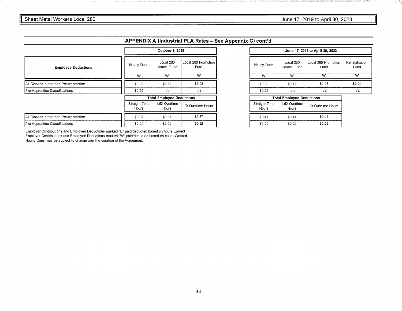|                                       |  | October 1, 2018                  |                           |                             |  |
|---------------------------------------|--|----------------------------------|---------------------------|-----------------------------|--|
| <b>Employee Deductions</b>            |  | Hourly Dues                      | Local 280<br>Council Fund | Local 280 Promotion<br>Fund |  |
|                                       |  | W                                | w                         | w                           |  |
| All Classes other than Pre-Apprentice |  | \$0.22                           | \$0.12                    | \$0.03                      |  |
| Pre-Apprentice Classifications        |  | \$0.22                           | n/a                       | n/a                         |  |
|                                       |  | <b>Total Employee Deductions</b> |                           |                             |  |
|                                       |  | Straight Time<br>Hours           | 1.5X Overtime<br>Hours    | 2X Overtime Hours           |  |
| All Classes other than Pre-Apprentice |  | \$0.37                           | \$0.37                    | \$0.37                      |  |
| Pre-Apprentice Classifications        |  | \$0.22                           | \$0.22                    | \$0.22                      |  |

| Local 280<br>Council Fund        | Local 280 Promotion<br>Fund | Rehabilitation<br>Fund |  |  |
|----------------------------------|-----------------------------|------------------------|--|--|
| w                                | w                           | w                      |  |  |
| \$0.12                           | \$0.03                      | \$0.04                 |  |  |
| n/a                              | n/a                         | n/a                    |  |  |
| <b>Total Employee Deductions</b> |                             |                        |  |  |
|                                  |                             |                        |  |  |

| Straight Time<br>Hours | 1.5X Overtime<br>Hours | 2X Overtime Hours |  |
|------------------------|------------------------|-------------------|--|
| \$0.41                 | \$0.41                 | \$0.41            |  |
| \$0.22                 | \$0.22                 | \$0.22            |  |

Employer Contributions and Employee Deductions marked "E" paid/deducted based on hours Earned Employer Contributions and Employee Deductions marked "W'' paid/deducted based on hours Worked Hourly Dues may be subject to change over the duration of the Agreement.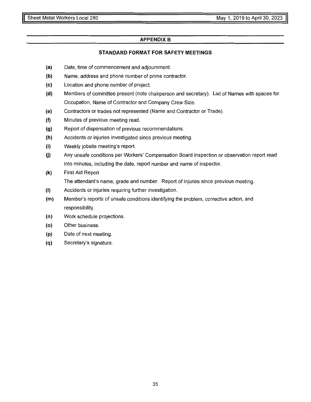#### **APPENDIX B**

#### **STANDARD FORMAT FOR SAFETY MEETINGS**

- (a) Date, time of commencement and adjournment.
- **(b)** Name, address and phone number of prime contractor.
- (c) Location and phone number of project.
- **(d)** Members of committee present (note chairperson and secretary). List of Names with spaces for Occupation, Name of Contractor and Company Crew Size.
- (e) Contractors or trades not represented (Name and Contractor or Trade).
- **(f)** Minutes of previous meeting read.
- (g) Report of dispensation of previous recommendations.
- **(h)** Accidents or injuries investigated since previous meeting.
- **(i)** Weekly jobsite meeting's report.
- (j) Any unsafe conditions per Workers' Compensation Board inspection or observation report read into minutes, including the date, report number and name of inspector.
- **(k)** First Aid Report The attendant's name, grade and number. Report of injuries since previous meeting.
- (I) Accidents or injuries requiring further investigation.
- **(m)** Member's reports of unsafe conditions identifying the problem, corrective action, and responsibility.
- **(n)** Work schedule projections.
- (o) Other business.
- **(p)** Date of next meeting.
- (q) Secretary's signature.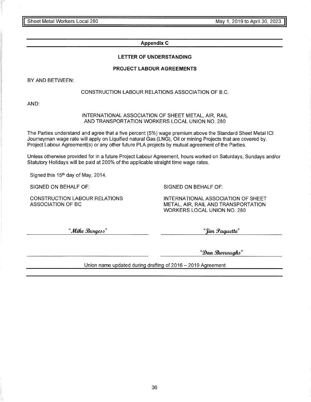#### **Appendix C**

#### **LETTER OF UNDERSTANDING**

#### **PROJECT LABOUR AGREEMENTS**

BY AND BETWEEN:

#### CONSTRUCTION LABOUR RELATIONS ASSOCIATION OF B.C.

AND:

#### INTERNATIONAL ASSOCIATION OF SHEET METAL, AIR, RAIL AND TRANSPORTATION WORKERS LOCAL UNION NO. 280

The Parties understand and agree that a five percent (5%) wage premium above the Standard Sheet Metal ICI Journeyman wage rate will apply on Liquified natural Gas (LNG), Oil or mining Projects that are covered by. Project Labour Agreement(s) or any other future PLA projects by mutual agreement of the Parties.

Unless otherwise provided for in a future Project Labour Agreement, hours worked on Saturdays, Sundays and/or Statutory Holidays will be paid at 200% of the applicable straight time wage rates.

Signed this 15<sup>th</sup> day of May, 2014.

SIGNED ON BEHALF OF:

CONSTRUCTION LABOUR RELATIONS ASSOCIATION OF BC

SIGNED ON BEHALF OF:

INTERNATIONAL ASSOCIATION OF SHEET METAL, AIR, RAIL AND TRANSPORTATION WORKERS LOCAL UNION NO. 280

"Mike Burgess"

"Jim Paquette"

"1Jan *[JJWVWUfJ&,,* 

Union name updated during drafting of 2016 - 2019 Agreement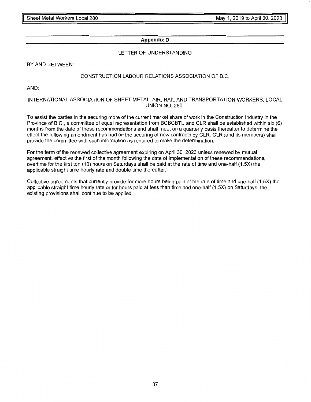#### **Appendix D**

#### LETTER OF UNDERSTANDING

BY AND BETWEEN:

#### CONSTRUCTION LABOUR RELATIONS ASSOCIATION OF B.C.

AND:

#### INTERNATIONAL ASSOCIATION OF SHEET METAL, AIR, RAIL AND TRANSPORTATION WORKERS, LOCAL UNION NO. 280

To assist the parties in the securing more of the current market share of work in the Construction Industry in the Province of B.C., a committee of equal representation from BCBCBTU and CLR shall be established within six (6) months from the date of these recommendations and shall meet on a quarterly basis thereafter to determine the effect the following amendment has had on the securing of new contracts by CLR. CLR (and its members) shall provide the committee with such information as required to make the determination.

For the term of the renewed collective agreement expiring on April 30, 2023 unless renewed by mutual agreement, effective the first of the month following the date of implementation of these recommendations, overtime for the first ten (10) hours on Saturdays shall be paid at the rate of time and one-half (1.5X) the applicable straight time hourly rate and double time thereafter.

Collective agreements that currently provide for more hours being paid at the rate of time and one-half (1.5X) the applicable straight time hourly rate or for hours paid at less than time and one-half (1.5X) on Saturdays, the existing provisions shall continue to be applied.